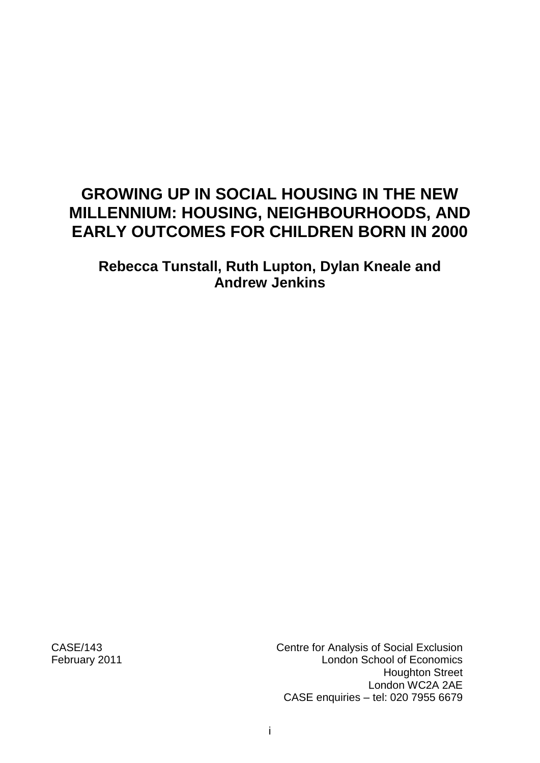# **GROWING UP IN SOCIAL HOUSING IN THE NEW MILLENNIUM: HOUSING, NEIGHBOURHOODS, AND EARLY OUTCOMES FOR CHILDREN BORN IN 2000**

**Rebecca Tunstall, Ruth Lupton, Dylan Kneale and Andrew Jenkins**

CASE/143 Centre for Analysis of Social Exclusion February 2011 **London School of Economics** Houghton Street London WC2A 2AE CASE enquiries – tel: 020 7955 6679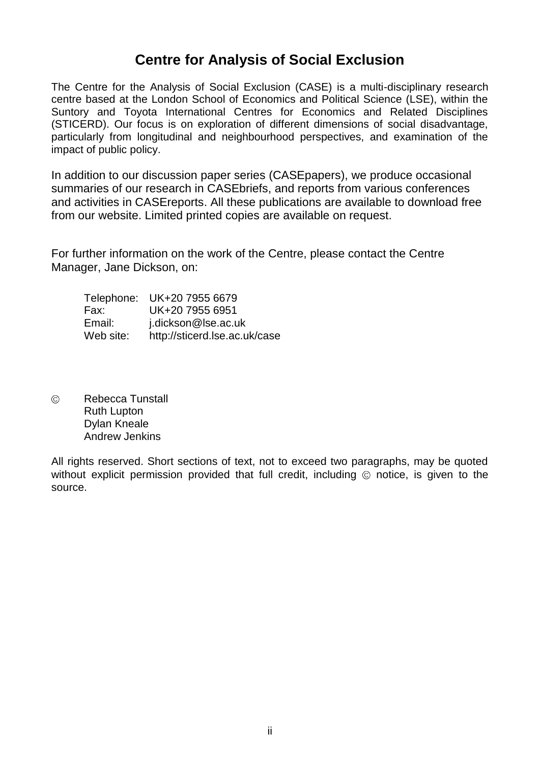# **Centre for Analysis of Social Exclusion**

The Centre for the Analysis of Social Exclusion (CASE) is a multi-disciplinary research centre based at the London School of Economics and Political Science (LSE), within the Suntory and Toyota International Centres for Economics and Related Disciplines (STICERD). Our focus is on exploration of different dimensions of social disadvantage, particularly from longitudinal and neighbourhood perspectives, and examination of the impact of public policy.

In addition to our discussion paper series (CASEpapers), we produce occasional summaries of our research in CASEbriefs, and reports from various conferences and activities in CASEreports. All these publications are available to download free from our website. Limited printed copies are available on request.

For further information on the work of the Centre, please contact the Centre Manager, Jane Dickson, on:

|           | Telephone: UK+20 7955 6679    |
|-----------|-------------------------------|
| Fax:      | UK+20 7955 6951               |
| Email:    | j.dickson@lse.ac.uk           |
| Web site: | http://sticerd.lse.ac.uk/case |

Rebecca Tunstall  $\circledcirc$ Ruth Lupton Dylan Kneale Andrew Jenkins

All rights reserved. Short sections of text, not to exceed two paragraphs, may be quoted without explicit permission provided that full credit, including  $\odot$  notice, is given to the source.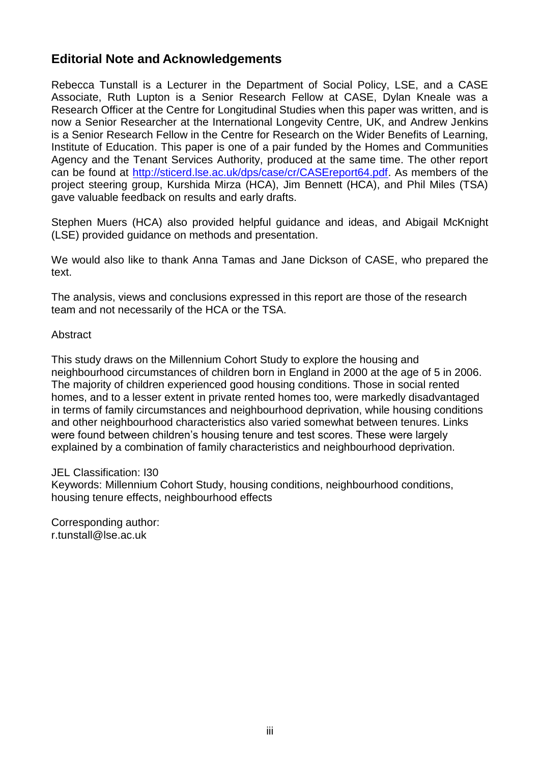# **Editorial Note and Acknowledgements**

Rebecca Tunstall is a Lecturer in the Department of Social Policy, LSE, and a CASE Associate, Ruth Lupton is a Senior Research Fellow at CASE, Dylan Kneale was a Research Officer at the Centre for Longitudinal Studies when this paper was written, and is now a Senior Researcher at the International Longevity Centre, UK, and Andrew Jenkins is a Senior Research Fellow in the Centre for Research on the Wider Benefits of Learning, Institute of Education. This paper is one of a pair funded by the Homes and Communities Agency and the Tenant Services Authority, produced at the same time. The other report can be found at [http://sticerd.lse.ac.uk/dps/case/cr/CASEreport64.pdf.](http://sticerd.lse.ac.uk/dps/case/cr/CASEreport64.pdf) As members of the project steering group, Kurshida Mirza (HCA), Jim Bennett (HCA), and Phil Miles (TSA) gave valuable feedback on results and early drafts.

Stephen Muers (HCA) also provided helpful guidance and ideas, and Abigail McKnight (LSE) provided guidance on methods and presentation.

We would also like to thank Anna Tamas and Jane Dickson of CASE, who prepared the text.

The analysis, views and conclusions expressed in this report are those of the research team and not necessarily of the HCA or the TSA.

#### Abstract

This study draws on the Millennium Cohort Study to explore the housing and neighbourhood circumstances of children born in England in 2000 at the age of 5 in 2006. The majority of children experienced good housing conditions. Those in social rented homes, and to a lesser extent in private rented homes too, were markedly disadvantaged in terms of family circumstances and neighbourhood deprivation, while housing conditions and other neighbourhood characteristics also varied somewhat between tenures. Links were found between children's housing tenure and test scores. These were largely explained by a combination of family characteristics and neighbourhood deprivation.

JEL Classification: I30

Keywords: Millennium Cohort Study, housing conditions, neighbourhood conditions, housing tenure effects, neighbourhood effects

Corresponding author: r.tunstall@lse.ac.uk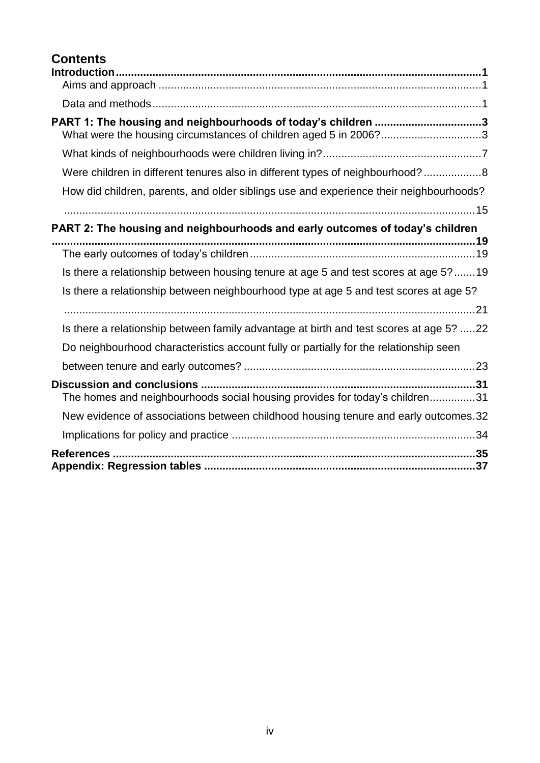# **Contents**

| PART 1: The housing and neighbourhoods of today's children 3<br>What were the housing circumstances of children aged 5 in 2006?3 |
|----------------------------------------------------------------------------------------------------------------------------------|
|                                                                                                                                  |
| Were children in different tenures also in different types of neighbourhood? 8                                                   |
| How did children, parents, and older siblings use and experience their neighbourhoods?                                           |
|                                                                                                                                  |
| PART 2: The housing and neighbourhoods and early outcomes of today's children                                                    |
|                                                                                                                                  |
| Is there a relationship between housing tenure at age 5 and test scores at age 5?19                                              |
| Is there a relationship between neighbourhood type at age 5 and test scores at age 5?                                            |
|                                                                                                                                  |
| Is there a relationship between family advantage at birth and test scores at age 5? 22                                           |
| Do neighbourhood characteristics account fully or partially for the relationship seen                                            |
|                                                                                                                                  |
| The homes and neighbourhoods social housing provides for today's children31                                                      |
| New evidence of associations between childhood housing tenure and early outcomes.32                                              |
|                                                                                                                                  |
|                                                                                                                                  |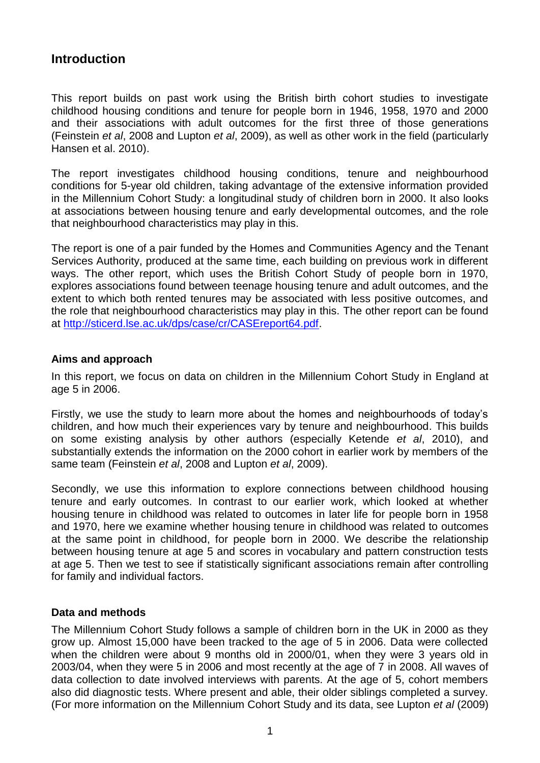# <span id="page-4-0"></span>**Introduction**

This report builds on past work using the British birth cohort studies to investigate childhood housing conditions and tenure for people born in 1946, 1958, 1970 and 2000 and their associations with adult outcomes for the first three of those generations (Feinstein *et al*, 2008 and Lupton *et al*, 2009), as well as other work in the field (particularly Hansen et al. 2010).

The report investigates childhood housing conditions, tenure and neighbourhood conditions for 5-year old children, taking advantage of the extensive information provided in the Millennium Cohort Study: a longitudinal study of children born in 2000. It also looks at associations between housing tenure and early developmental outcomes, and the role that neighbourhood characteristics may play in this.

The report is one of a pair funded by the Homes and Communities Agency and the Tenant Services Authority, produced at the same time, each building on previous work in different ways. The other report, which uses the British Cohort Study of people born in 1970, explores associations found between teenage housing tenure and adult outcomes, and the extent to which both rented tenures may be associated with less positive outcomes, and the role that neighbourhood characteristics may play in this. The other report can be found at [http://sticerd.lse.ac.uk/dps/case/cr/CASEreport64.pdf.](http://sticerd.lse.ac.uk/dps/case/cr/CASEreport64.pdf)

#### <span id="page-4-1"></span>**Aims and approach**

In this report, we focus on data on children in the Millennium Cohort Study in England at age 5 in 2006.

Firstly, we use the study to learn more about the homes and neighbourhoods of today's children, and how much their experiences vary by tenure and neighbourhood. This builds on some existing analysis by other authors (especially Ketende *et al*, 2010), and substantially extends the information on the 2000 cohort in earlier work by members of the same team (Feinstein *et al*, 2008 and Lupton *et al*, 2009).

Secondly, we use this information to explore connections between childhood housing tenure and early outcomes. In contrast to our earlier work, which looked at whether housing tenure in childhood was related to outcomes in later life for people born in 1958 and 1970, here we examine whether housing tenure in childhood was related to outcomes at the same point in childhood, for people born in 2000. We describe the relationship between housing tenure at age 5 and scores in vocabulary and pattern construction tests at age 5. Then we test to see if statistically significant associations remain after controlling for family and individual factors.

#### <span id="page-4-2"></span>**Data and methods**

The Millennium Cohort Study follows a sample of children born in the UK in 2000 as they grow up. Almost 15,000 have been tracked to the age of 5 in 2006. Data were collected when the children were about 9 months old in 2000/01, when they were 3 years old in 2003/04, when they were 5 in 2006 and most recently at the age of 7 in 2008. All waves of data collection to date involved interviews with parents. At the age of 5, cohort members also did diagnostic tests. Where present and able, their older siblings completed a survey. (For more information on the Millennium Cohort Study and its data, see Lupton *et al* (2009)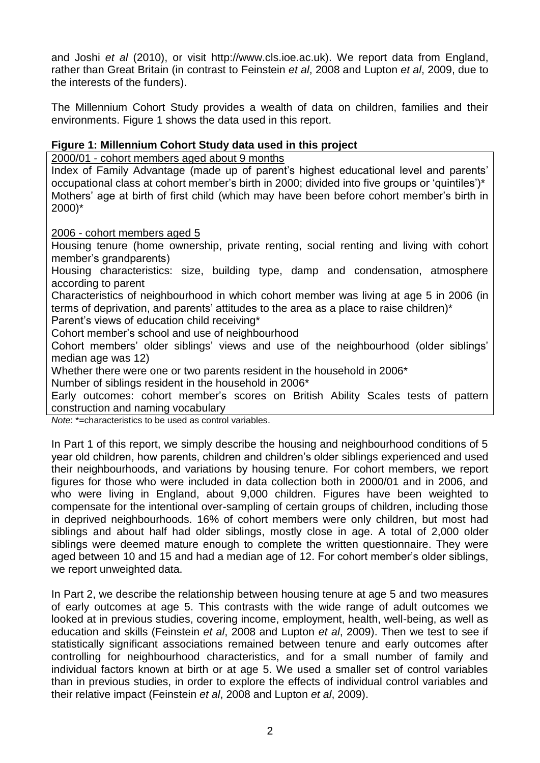and Joshi *et al* (2010), or visit http://www.cls.ioe.ac.uk). We report data from England, rather than Great Britain (in contrast to Feinstein *et al*, 2008 and Lupton *et al*, 2009, due to the interests of the funders).

The Millennium Cohort Study provides a wealth of data on children, families and their environments. Figure 1 shows the data used in this report.

### **Figure 1: Millennium Cohort Study data used in this project**

2000/01 - cohort members aged about 9 months

Index of Family Advantage (made up of parent's highest educational level and parents' occupational class at cohort member's birth in 2000; divided into five groups or 'quintiles')\* Mothers' age at birth of first child (which may have been before cohort member's birth in 2000)\*

2006 - cohort members aged 5

Housing tenure (home ownership, private renting, social renting and living with cohort member's grandparents)

Housing characteristics: size, building type, damp and condensation, atmosphere according to parent

Characteristics of neighbourhood in which cohort member was living at age 5 in 2006 (in terms of deprivation, and parents' attitudes to the area as a place to raise children)\*

Parent's views of education child receiving\*

Cohort member's school and use of neighbourhood

Cohort members' older siblings' views and use of the neighbourhood (older siblings' median age was 12)

Whether there were one or two parents resident in the household in 2006\*

Number of siblings resident in the household in 2006\*

Early outcomes: cohort member's scores on British Ability Scales tests of pattern construction and naming vocabulary

*Note*: \*=characteristics to be used as control variables.

In Part 1 of this report, we simply describe the housing and neighbourhood conditions of 5 year old children, how parents, children and children's older siblings experienced and used their neighbourhoods, and variations by housing tenure. For cohort members, we report figures for those who were included in data collection both in 2000/01 and in 2006, and who were living in England, about 9,000 children. Figures have been weighted to compensate for the intentional over-sampling of certain groups of children, including those in deprived neighbourhoods. 16% of cohort members were only children, but most had siblings and about half had older siblings, mostly close in age. A total of 2,000 older siblings were deemed mature enough to complete the written questionnaire. They were aged between 10 and 15 and had a median age of 12. For cohort member's older siblings, we report unweighted data.

In Part 2, we describe the relationship between housing tenure at age 5 and two measures of early outcomes at age 5. This contrasts with the wide range of adult outcomes we looked at in previous studies, covering income, employment, health, well-being, as well as education and skills (Feinstein *et al*, 2008 and Lupton *et al*, 2009). Then we test to see if statistically significant associations remained between tenure and early outcomes after controlling for neighbourhood characteristics, and for a small number of family and individual factors known at birth or at age 5. We used a smaller set of control variables than in previous studies, in order to explore the effects of individual control variables and their relative impact (Feinstein *et al*, 2008 and Lupton *et al*, 2009).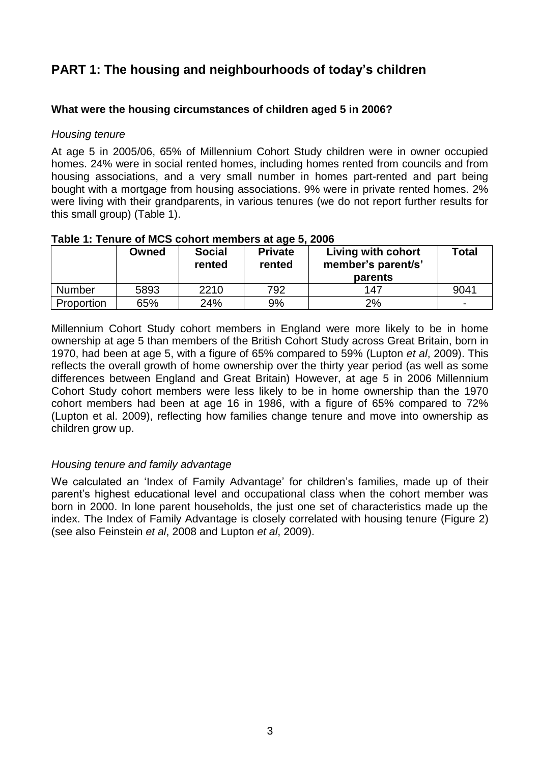# <span id="page-6-0"></span>**PART 1: The housing and neighbourhoods of today's children**

### <span id="page-6-1"></span>**What were the housing circumstances of children aged 5 in 2006?**

#### *Housing tenure*

At age 5 in 2005/06, 65% of Millennium Cohort Study children were in owner occupied homes. 24% were in social rented homes, including homes rented from councils and from housing associations, and a very small number in homes part-rented and part being bought with a mortgage from housing associations. 9% were in private rented homes. 2% were living with their grandparents, in various tenures (we do not report further results for this small group) (Table 1).

| Table 1. Tendre of MCS conort members at age 3, 2000 |       |                         |                          |                                                     |              |
|------------------------------------------------------|-------|-------------------------|--------------------------|-----------------------------------------------------|--------------|
|                                                      | Owned | <b>Social</b><br>rented | <b>Private</b><br>rented | Living with cohort<br>member's parent/s'<br>parents | <b>Total</b> |
| Number                                               | 5893  | 2210                    | 792                      | 147                                                 | 9041         |
| Proportion                                           | 65%   | 24%                     | 9%                       | 2%                                                  | -            |

#### **Table 1: Tenure of MCS cohort members at age 5, 2006**

Millennium Cohort Study cohort members in England were more likely to be in home ownership at age 5 than members of the British Cohort Study across Great Britain, born in 1970, had been at age 5, with a figure of 65% compared to 59% (Lupton *et al*, 2009). This reflects the overall growth of home ownership over the thirty year period (as well as some differences between England and Great Britain) However, at age 5 in 2006 Millennium Cohort Study cohort members were less likely to be in home ownership than the 1970 cohort members had been at age 16 in 1986, with a figure of 65% compared to 72% (Lupton et al. 2009), reflecting how families change tenure and move into ownership as children grow up.

#### *Housing tenure and family advantage*

We calculated an 'Index of Family Advantage' for children's families, made up of their parent's highest educational level and occupational class when the cohort member was born in 2000. In lone parent households, the just one set of characteristics made up the index. The Index of Family Advantage is closely correlated with housing tenure (Figure 2) (see also Feinstein *et al*, 2008 and Lupton *et al*, 2009).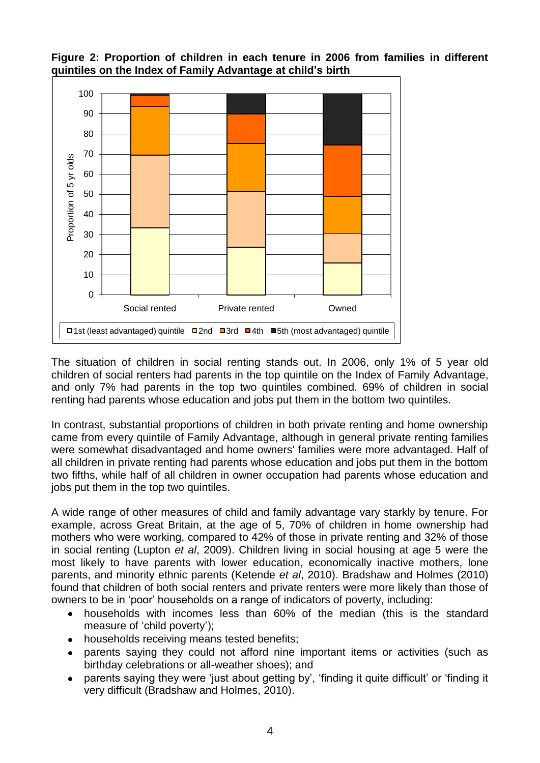



The situation of children in social renting stands out. In 2006, only 1% of 5 year old children of social renters had parents in the top quintile on the Index of Family Advantage, and only 7% had parents in the top two quintiles combined. 69% of children in social renting had parents whose education and jobs put them in the bottom two quintiles.

In contrast, substantial proportions of children in both private renting and home ownership came from every quintile of Family Advantage, although in general private renting families were somewhat disadvantaged and home owners' families were more advantaged. Half of all children in private renting had parents whose education and jobs put them in the bottom two fifths, while half of all children in owner occupation had parents whose education and jobs put them in the top two quintiles.

A wide range of other measures of child and family advantage vary starkly by tenure. For example, across Great Britain, at the age of 5, 70% of children in home ownership had mothers who were working, compared to 42% of those in private renting and 32% of those in social renting (Lupton *et al*, 2009). Children living in social housing at age 5 were the most likely to have parents with lower education, economically inactive mothers, lone parents, and minority ethnic parents (Ketende *et al*, 2010). Bradshaw and Holmes (2010) found that children of both social renters and private renters were more likely than those of owners to be in 'poor' households on a range of indicators of poverty, including:

- households with incomes less than 60% of the median (this is the standard  $\bullet$ measure of 'child poverty');
- households receiving means tested benefits;  $\bullet$
- parents saying they could not afford nine important items or activities (such as birthday celebrations or all-weather shoes); and
- parents saying they were 'just about getting by', 'finding it quite difficult' or 'finding it very difficult (Bradshaw and Holmes, 2010).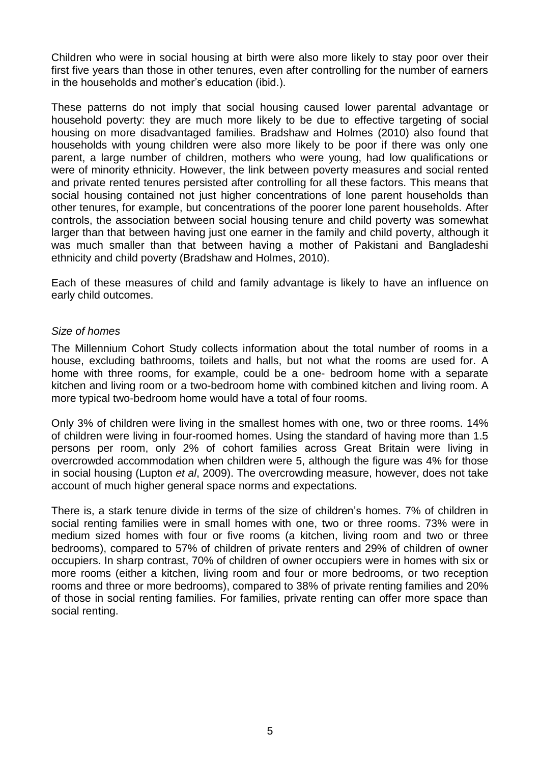Children who were in social housing at birth were also more likely to stay poor over their first five years than those in other tenures, even after controlling for the number of earners in the households and mother's education (ibid.).

These patterns do not imply that social housing caused lower parental advantage or household poverty: they are much more likely to be due to effective targeting of social housing on more disadvantaged families. Bradshaw and Holmes (2010) also found that households with young children were also more likely to be poor if there was only one parent, a large number of children, mothers who were young, had low qualifications or were of minority ethnicity. However, the link between poverty measures and social rented and private rented tenures persisted after controlling for all these factors. This means that social housing contained not just higher concentrations of lone parent households than other tenures, for example, but concentrations of the poorer lone parent households. After controls, the association between social housing tenure and child poverty was somewhat larger than that between having just one earner in the family and child poverty, although it was much smaller than that between having a mother of Pakistani and Bangladeshi ethnicity and child poverty (Bradshaw and Holmes, 2010).

Each of these measures of child and family advantage is likely to have an influence on early child outcomes.

#### *Size of homes*

The Millennium Cohort Study collects information about the total number of rooms in a house, excluding bathrooms, toilets and halls, but not what the rooms are used for. A home with three rooms, for example, could be a one- bedroom home with a separate kitchen and living room or a two-bedroom home with combined kitchen and living room. A more typical two-bedroom home would have a total of four rooms.

Only 3% of children were living in the smallest homes with one, two or three rooms. 14% of children were living in four-roomed homes. Using the standard of having more than 1.5 persons per room, only 2% of cohort families across Great Britain were living in overcrowded accommodation when children were 5, although the figure was 4% for those in social housing (Lupton *et al*, 2009). The overcrowding measure, however, does not take account of much higher general space norms and expectations.

There is, a stark tenure divide in terms of the size of children's homes. 7% of children in social renting families were in small homes with one, two or three rooms. 73% were in medium sized homes with four or five rooms (a kitchen, living room and two or three bedrooms), compared to 57% of children of private renters and 29% of children of owner occupiers. In sharp contrast, 70% of children of owner occupiers were in homes with six or more rooms (either a kitchen, living room and four or more bedrooms, or two reception rooms and three or more bedrooms), compared to 38% of private renting families and 20% of those in social renting families. For families, private renting can offer more space than social renting.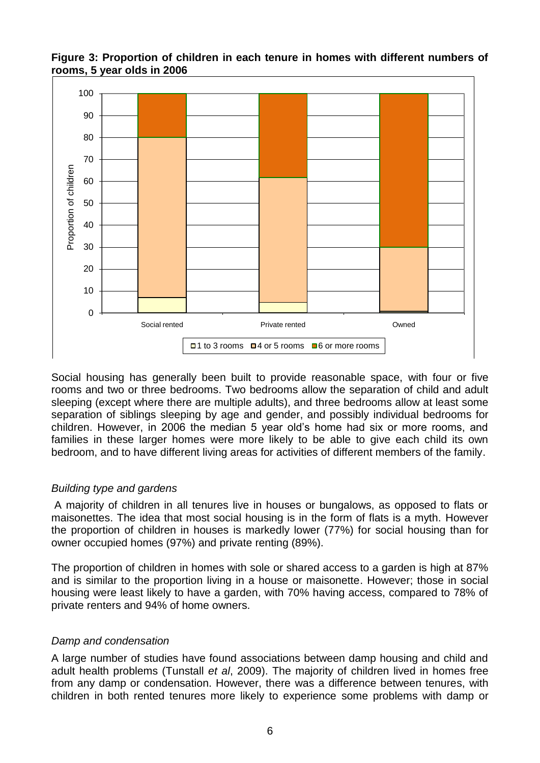

**Figure 3: Proportion of children in each tenure in homes with different numbers of rooms, 5 year olds in 2006**

Social housing has generally been built to provide reasonable space, with four or five rooms and two or three bedrooms. Two bedrooms allow the separation of child and adult sleeping (except where there are multiple adults), and three bedrooms allow at least some separation of siblings sleeping by age and gender, and possibly individual bedrooms for children. However, in 2006 the median 5 year old's home had six or more rooms, and families in these larger homes were more likely to be able to give each child its own bedroom, and to have different living areas for activities of different members of the family.

### *Building type and gardens*

A majority of children in all tenures live in houses or bungalows, as opposed to flats or maisonettes. The idea that most social housing is in the form of flats is a myth. However the proportion of children in houses is markedly lower (77%) for social housing than for owner occupied homes (97%) and private renting (89%).

The proportion of children in homes with sole or shared access to a garden is high at 87% and is similar to the proportion living in a house or maisonette. However; those in social housing were least likely to have a garden, with 70% having access, compared to 78% of private renters and 94% of home owners.

#### *Damp and condensation*

A large number of studies have found associations between damp housing and child and adult health problems (Tunstall *et al*, 2009). The majority of children lived in homes free from any damp or condensation. However, there was a difference between tenures, with children in both rented tenures more likely to experience some problems with damp or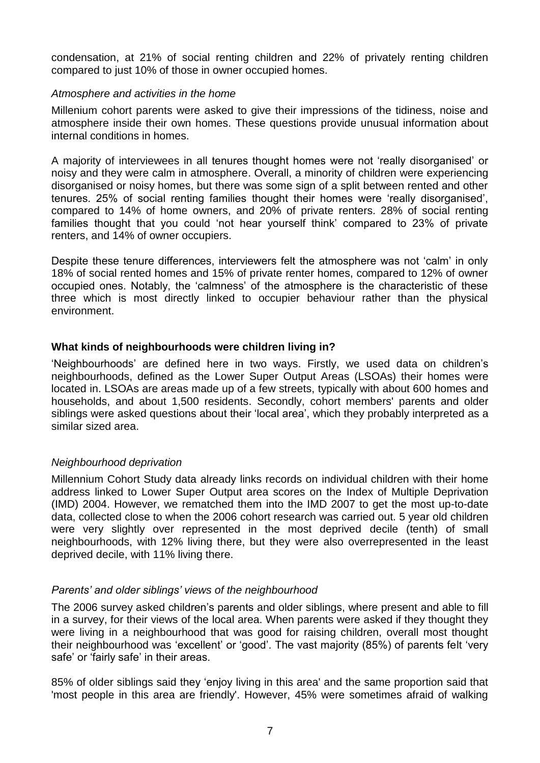condensation, at 21% of social renting children and 22% of privately renting children compared to just 10% of those in owner occupied homes.

#### *Atmosphere and activities in the home*

Millenium cohort parents were asked to give their impressions of the tidiness, noise and atmosphere inside their own homes. These questions provide unusual information about internal conditions in homes.

A majority of interviewees in all tenures thought homes were not 'really disorganised' or noisy and they were calm in atmosphere. Overall, a minority of children were experiencing disorganised or noisy homes, but there was some sign of a split between rented and other tenures. 25% of social renting families thought their homes were 'really disorganised', compared to 14% of home owners, and 20% of private renters. 28% of social renting families thought that you could 'not hear yourself think' compared to 23% of private renters, and 14% of owner occupiers.

Despite these tenure differences, interviewers felt the atmosphere was not 'calm' in only 18% of social rented homes and 15% of private renter homes, compared to 12% of owner occupied ones. Notably, the 'calmness' of the atmosphere is the characteristic of these three which is most directly linked to occupier behaviour rather than the physical environment.

### <span id="page-10-0"></span>**What kinds of neighbourhoods were children living in?**

'Neighbourhoods' are defined here in two ways. Firstly, we used data on children's neighbourhoods, defined as the Lower Super Output Areas (LSOAs) their homes were located in. LSOAs are areas made up of a few streets, typically with about 600 homes and households, and about 1,500 residents. Secondly, cohort members' parents and older siblings were asked questions about their 'local area', which they probably interpreted as a similar sized area.

#### *Neighbourhood deprivation*

Millennium Cohort Study data already links records on individual children with their home address linked to Lower Super Output area scores on the Index of Multiple Deprivation (IMD) 2004. However, we rematched them into the IMD 2007 to get the most up-to-date data, collected close to when the 2006 cohort research was carried out. 5 year old children were very slightly over represented in the most deprived decile (tenth) of small neighbourhoods, with 12% living there, but they were also overrepresented in the least deprived decile, with 11% living there.

### *Parents' and older siblings' views of the neighbourhood*

The 2006 survey asked children's parents and older siblings, where present and able to fill in a survey, for their views of the local area. When parents were asked if they thought they were living in a neighbourhood that was good for raising children, overall most thought their neighbourhood was 'excellent' or 'good'. The vast majority (85%) of parents felt 'very safe' or 'fairly safe' in their areas.

85% of older siblings said they 'enjoy living in this area' and the same proportion said that 'most people in this area are friendly'. However, 45% were sometimes afraid of walking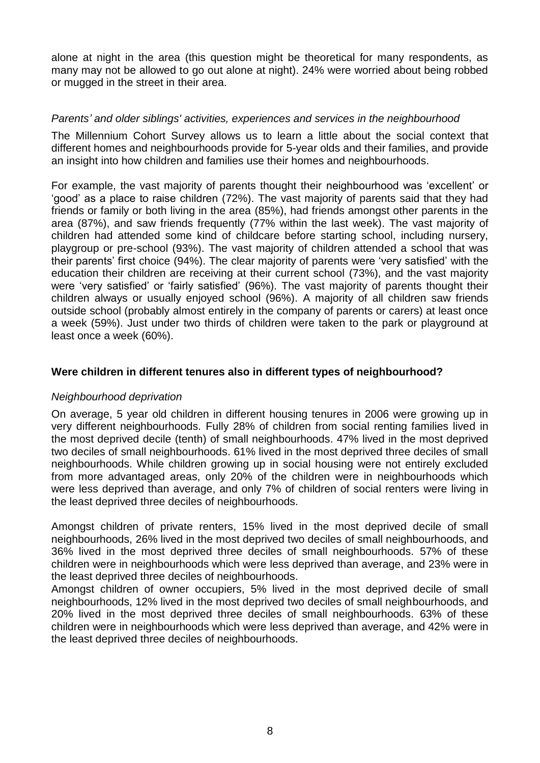alone at night in the area (this question might be theoretical for many respondents, as many may not be allowed to go out alone at night). 24% were worried about being robbed or mugged in the street in their area.

### *Parents' and older siblings' activities, experiences and services in the neighbourhood*

The Millennium Cohort Survey allows us to learn a little about the social context that different homes and neighbourhoods provide for 5-year olds and their families, and provide an insight into how children and families use their homes and neighbourhoods.

For example, the vast majority of parents thought their neighbourhood was 'excellent' or 'good' as a place to raise children (72%). The vast majority of parents said that they had friends or family or both living in the area (85%), had friends amongst other parents in the area (87%), and saw friends frequently (77% within the last week). The vast majority of children had attended some kind of childcare before starting school, including nursery, playgroup or pre-school (93%). The vast majority of children attended a school that was their parents' first choice (94%). The clear majority of parents were 'very satisfied' with the education their children are receiving at their current school (73%), and the vast majority were 'very satisfied' or 'fairly satisfied' (96%). The vast majority of parents thought their children always or usually enjoyed school (96%). A majority of all children saw friends outside school (probably almost entirely in the company of parents or carers) at least once a week (59%). Just under two thirds of children were taken to the park or playground at least once a week (60%).

### <span id="page-11-0"></span>**Were children in different tenures also in different types of neighbourhood?**

#### *Neighbourhood deprivation*

On average, 5 year old children in different housing tenures in 2006 were growing up in very different neighbourhoods. Fully 28% of children from social renting families lived in the most deprived decile (tenth) of small neighbourhoods. 47% lived in the most deprived two deciles of small neighbourhoods. 61% lived in the most deprived three deciles of small neighbourhoods. While children growing up in social housing were not entirely excluded from more advantaged areas, only 20% of the children were in neighbourhoods which were less deprived than average, and only 7% of children of social renters were living in the least deprived three deciles of neighbourhoods.

Amongst children of private renters, 15% lived in the most deprived decile of small neighbourhoods, 26% lived in the most deprived two deciles of small neighbourhoods, and 36% lived in the most deprived three deciles of small neighbourhoods. 57% of these children were in neighbourhoods which were less deprived than average, and 23% were in the least deprived three deciles of neighbourhoods.

Amongst children of owner occupiers, 5% lived in the most deprived decile of small neighbourhoods, 12% lived in the most deprived two deciles of small neighbourhoods, and 20% lived in the most deprived three deciles of small neighbourhoods. 63% of these children were in neighbourhoods which were less deprived than average, and 42% were in the least deprived three deciles of neighbourhoods.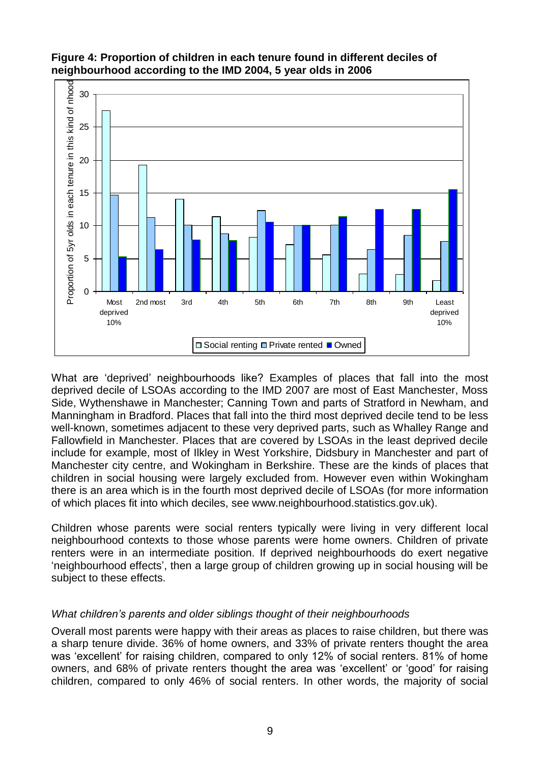

### **Figure 4: Proportion of children in each tenure found in different deciles of neighbourhood according to the IMD 2004, 5 year olds in 2006**

What are 'deprived' neighbourhoods like? Examples of places that fall into the most deprived decile of LSOAs according to the IMD 2007 are most of East Manchester, Moss Side, Wythenshawe in Manchester; Canning Town and parts of Stratford in Newham, and Manningham in Bradford. Places that fall into the third most deprived decile tend to be less well-known, sometimes adjacent to these very deprived parts, such as Whalley Range and Fallowfield in Manchester. Places that are covered by LSOAs in the least deprived decile include for example, most of Ilkley in West Yorkshire, Didsbury in Manchester and part of Manchester city centre, and Wokingham in Berkshire. These are the kinds of places that children in social housing were largely excluded from. However even within Wokingham there is an area which is in the fourth most deprived decile of LSOAs (for more information of which places fit into which deciles, see www.neighbourhood.statistics.gov.uk).

Children whose parents were social renters typically were living in very different local neighbourhood contexts to those whose parents were home owners. Children of private renters were in an intermediate position. If deprived neighbourhoods do exert negative 'neighbourhood effects', then a large group of children growing up in social housing will be subject to these effects.

### *What children's parents and older siblings thought of their neighbourhoods*

Overall most parents were happy with their areas as places to raise children, but there was a sharp tenure divide. 36% of home owners, and 33% of private renters thought the area was 'excellent' for raising children, compared to only 12% of social renters. 81% of home owners, and 68% of private renters thought the area was 'excellent' or 'good' for raising children, compared to only 46% of social renters. In other words, the majority of social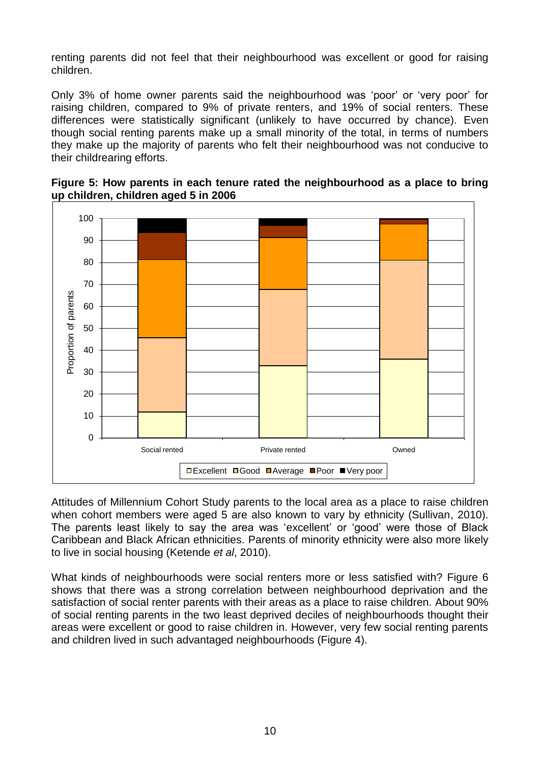renting parents did not feel that their neighbourhood was excellent or good for raising children.

Only 3% of home owner parents said the neighbourhood was 'poor' or 'very poor' for raising children, compared to 9% of private renters, and 19% of social renters. These differences were statistically significant (unlikely to have occurred by chance). Even though social renting parents make up a small minority of the total, in terms of numbers they make up the majority of parents who felt their neighbourhood was not conducive to their childrearing efforts.



**Figure 5: How parents in each tenure rated the neighbourhood as a place to bring up children, children aged 5 in 2006**

Attitudes of Millennium Cohort Study parents to the local area as a place to raise children when cohort members were aged 5 are also known to vary by ethnicity (Sullivan, 2010). The parents least likely to say the area was 'excellent' or 'good' were those of Black Caribbean and Black African ethnicities. Parents of minority ethnicity were also more likely to live in social housing (Ketende *et al*, 2010).

What kinds of neighbourhoods were social renters more or less satisfied with? Figure 6 shows that there was a strong correlation between neighbourhood deprivation and the satisfaction of social renter parents with their areas as a place to raise children. About 90% of social renting parents in the two least deprived deciles of neighbourhoods thought their areas were excellent or good to raise children in. However, very few social renting parents and children lived in such advantaged neighbourhoods (Figure 4).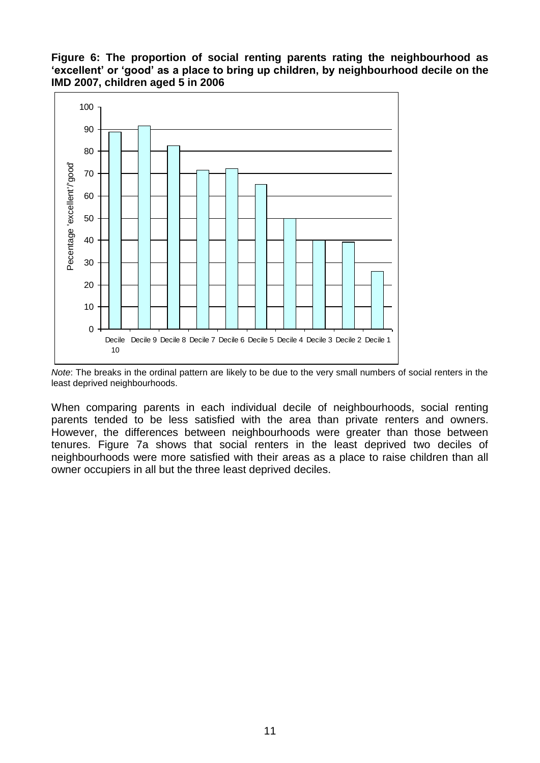**Figure 6: The proportion of social renting parents rating the neighbourhood as 'excellent' or 'good' as a place to bring up children, by neighbourhood decile on the IMD 2007, children aged 5 in 2006**



*Note*: The breaks in the ordinal pattern are likely to be due to the very small numbers of social renters in the least deprived neighbourhoods.

When comparing parents in each individual decile of neighbourhoods, social renting parents tended to be less satisfied with the area than private renters and owners. However, the differences between neighbourhoods were greater than those between tenures. Figure 7a shows that social renters in the least deprived two deciles of neighbourhoods were more satisfied with their areas as a place to raise children than all owner occupiers in all but the three least deprived deciles.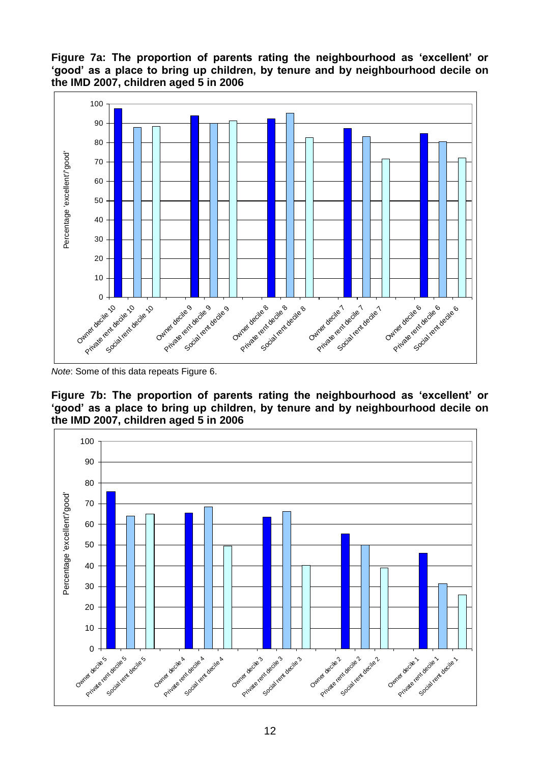**Figure 7a: The proportion of parents rating the neighbourhood as 'excellent' or 'good' as a place to bring up children, by tenure and by neighbourhood decile on the IMD 2007, children aged 5 in 2006**



*Note*: Some of this data repeats Figure 6.

**Figure 7b: The proportion of parents rating the neighbourhood as 'excellent' or 'good' as a place to bring up children, by tenure and by neighbourhood decile on the IMD 2007, children aged 5 in 2006**

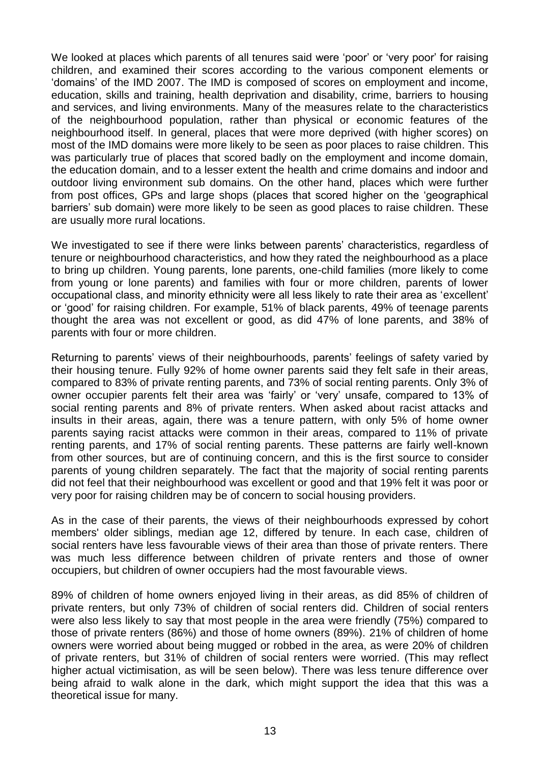We looked at places which parents of all tenures said were 'poor' or 'very poor' for raising children, and examined their scores according to the various component elements or 'domains' of the IMD 2007. The IMD is composed of scores on employment and income, education, skills and training, health deprivation and disability, crime, barriers to housing and services, and living environments. Many of the measures relate to the characteristics of the neighbourhood population, rather than physical or economic features of the neighbourhood itself. In general, places that were more deprived (with higher scores) on most of the IMD domains were more likely to be seen as poor places to raise children. This was particularly true of places that scored badly on the employment and income domain, the education domain, and to a lesser extent the health and crime domains and indoor and outdoor living environment sub domains. On the other hand, places which were further from post offices, GPs and large shops (places that scored higher on the 'geographical barriers' sub domain) were more likely to be seen as good places to raise children. These are usually more rural locations.

We investigated to see if there were links between parents' characteristics, regardless of tenure or neighbourhood characteristics, and how they rated the neighbourhood as a place to bring up children. Young parents, lone parents, one-child families (more likely to come from young or lone parents) and families with four or more children, parents of lower occupational class, and minority ethnicity were all less likely to rate their area as 'excellent' or 'good' for raising children. For example, 51% of black parents, 49% of teenage parents thought the area was not excellent or good, as did 47% of lone parents, and 38% of parents with four or more children.

Returning to parents' views of their neighbourhoods, parents' feelings of safety varied by their housing tenure. Fully 92% of home owner parents said they felt safe in their areas, compared to 83% of private renting parents, and 73% of social renting parents. Only 3% of owner occupier parents felt their area was 'fairly' or 'very' unsafe, compared to 13% of social renting parents and 8% of private renters. When asked about racist attacks and insults in their areas, again, there was a tenure pattern, with only 5% of home owner parents saying racist attacks were common in their areas, compared to 11% of private renting parents, and 17% of social renting parents. These patterns are fairly well-known from other sources, but are of continuing concern, and this is the first source to consider parents of young children separately. The fact that the majority of social renting parents did not feel that their neighbourhood was excellent or good and that 19% felt it was poor or very poor for raising children may be of concern to social housing providers.

As in the case of their parents, the views of their neighbourhoods expressed by cohort members' older siblings, median age 12, differed by tenure. In each case, children of social renters have less favourable views of their area than those of private renters. There was much less difference between children of private renters and those of owner occupiers, but children of owner occupiers had the most favourable views.

89% of children of home owners enjoyed living in their areas, as did 85% of children of private renters, but only 73% of children of social renters did. Children of social renters were also less likely to say that most people in the area were friendly (75%) compared to those of private renters (86%) and those of home owners (89%). 21% of children of home owners were worried about being mugged or robbed in the area, as were 20% of children of private renters, but 31% of children of social renters were worried. (This may reflect higher actual victimisation, as will be seen below). There was less tenure difference over being afraid to walk alone in the dark, which might support the idea that this was a theoretical issue for many.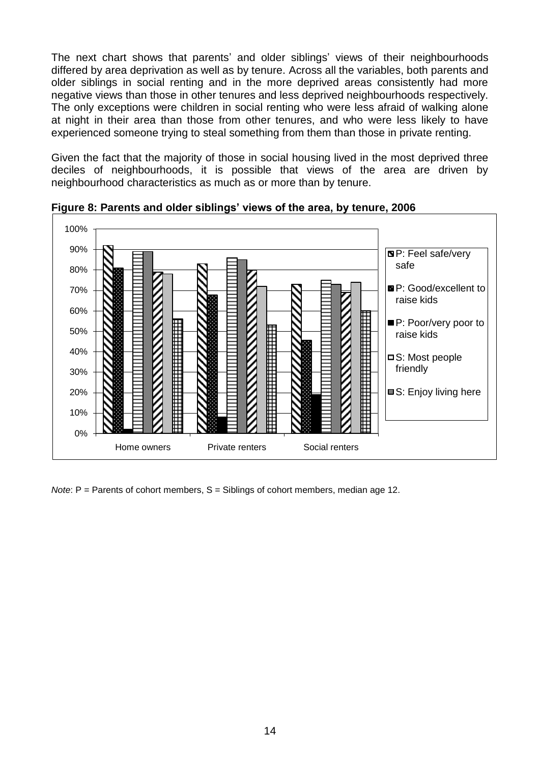The next chart shows that parents' and older siblings' views of their neighbourhoods differed by area deprivation as well as by tenure. Across all the variables, both parents and older siblings in social renting and in the more deprived areas consistently had more negative views than those in other tenures and less deprived neighbourhoods respectively. The only exceptions were children in social renting who were less afraid of walking alone at night in their area than those from other tenures, and who were less likely to have experienced someone trying to steal something from them than those in private renting.

Given the fact that the majority of those in social housing lived in the most deprived three deciles of neighbourhoods, it is possible that views of the area are driven by neighbourhood characteristics as much as or more than by tenure.



**Figure 8: Parents and older siblings' views of the area, by tenure, 2006**

*Note*: P = Parents of cohort members, S = Siblings of cohort members, median age 12.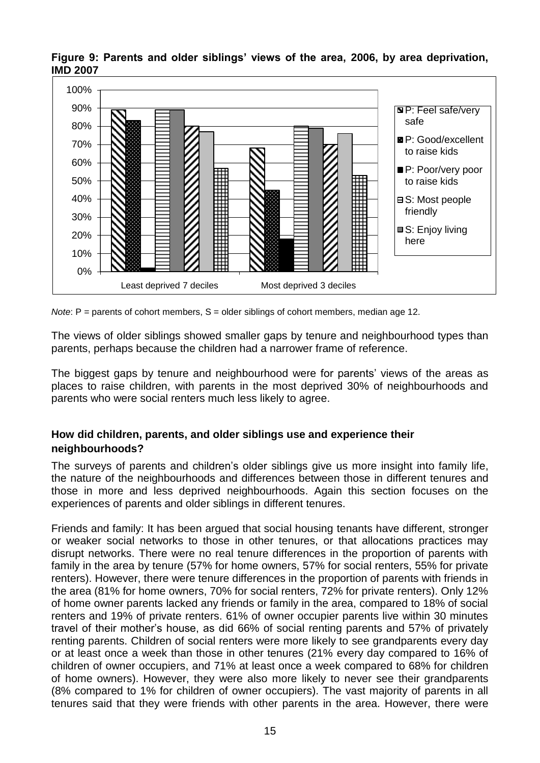**Figure 9: Parents and older siblings' views of the area, 2006, by area deprivation, IMD 2007**



*Note*: P = parents of cohort members, S = older siblings of cohort members, median age 12.

The views of older siblings showed smaller gaps by tenure and neighbourhood types than parents, perhaps because the children had a narrower frame of reference.

The biggest gaps by tenure and neighbourhood were for parents' views of the areas as places to raise children, with parents in the most deprived 30% of neighbourhoods and parents who were social renters much less likely to agree.

### <span id="page-18-0"></span>**How did children, parents, and older siblings use and experience their neighbourhoods?**

The surveys of parents and children's older siblings give us more insight into family life, the nature of the neighbourhoods and differences between those in different tenures and those in more and less deprived neighbourhoods. Again this section focuses on the experiences of parents and older siblings in different tenures.

Friends and family: It has been argued that social housing tenants have different, stronger or weaker social networks to those in other tenures, or that allocations practices may disrupt networks. There were no real tenure differences in the proportion of parents with family in the area by tenure (57% for home owners, 57% for social renters, 55% for private renters). However, there were tenure differences in the proportion of parents with friends in the area (81% for home owners, 70% for social renters, 72% for private renters). Only 12% of home owner parents lacked any friends or family in the area, compared to 18% of social renters and 19% of private renters. 61% of owner occupier parents live within 30 minutes travel of their mother's house, as did 66% of social renting parents and 57% of privately renting parents. Children of social renters were more likely to see grandparents every day or at least once a week than those in other tenures (21% every day compared to 16% of children of owner occupiers, and 71% at least once a week compared to 68% for children of home owners). However, they were also more likely to never see their grandparents (8% compared to 1% for children of owner occupiers). The vast majority of parents in all tenures said that they were friends with other parents in the area. However, there were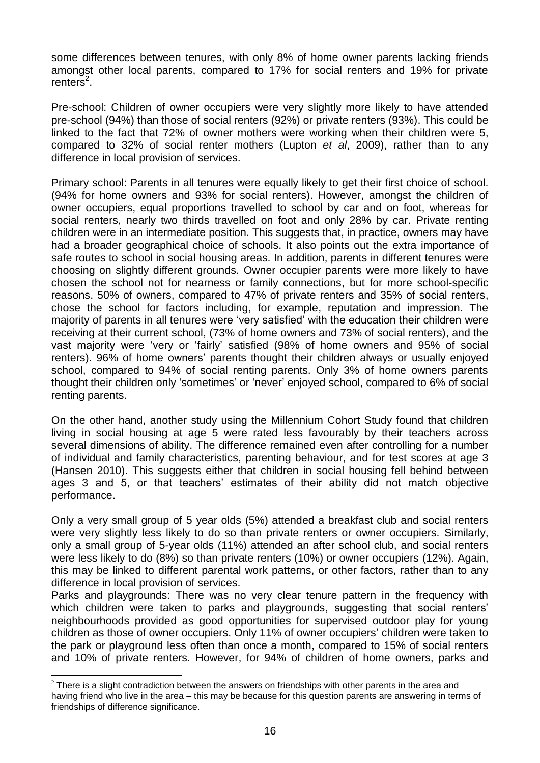some differences between tenures, with only 8% of home owner parents lacking friends amongst other local parents, compared to 17% for social renters and 19% for private  $r$ enters<sup>2</sup>.

Pre-school: Children of owner occupiers were very slightly more likely to have attended pre-school (94%) than those of social renters (92%) or private renters (93%). This could be linked to the fact that 72% of owner mothers were working when their children were 5, compared to 32% of social renter mothers (Lupton *et al*, 2009), rather than to any difference in local provision of services.

Primary school: Parents in all tenures were equally likely to get their first choice of school. (94% for home owners and 93% for social renters). However, amongst the children of owner occupiers, equal proportions travelled to school by car and on foot, whereas for social renters, nearly two thirds travelled on foot and only 28% by car. Private renting children were in an intermediate position. This suggests that, in practice, owners may have had a broader geographical choice of schools. It also points out the extra importance of safe routes to school in social housing areas. In addition, parents in different tenures were choosing on slightly different grounds. Owner occupier parents were more likely to have chosen the school not for nearness or family connections, but for more school-specific reasons. 50% of owners, compared to 47% of private renters and 35% of social renters, chose the school for factors including, for example, reputation and impression. The majority of parents in all tenures were 'very satisfied' with the education their children were receiving at their current school, (73% of home owners and 73% of social renters), and the vast majority were 'very or 'fairly' satisfied (98% of home owners and 95% of social renters). 96% of home owners' parents thought their children always or usually enjoyed school, compared to 94% of social renting parents. Only 3% of home owners parents thought their children only 'sometimes' or 'never' enjoyed school, compared to 6% of social renting parents.

On the other hand, another study using the Millennium Cohort Study found that children living in social housing at age 5 were rated less favourably by their teachers across several dimensions of ability. The difference remained even after controlling for a number of individual and family characteristics, parenting behaviour, and for test scores at age 3 (Hansen 2010). This suggests either that children in social housing fell behind between ages 3 and 5, or that teachers' estimates of their ability did not match objective performance.

Only a very small group of 5 year olds (5%) attended a breakfast club and social renters were very slightly less likely to do so than private renters or owner occupiers. Similarly, only a small group of 5-year olds (11%) attended an after school club, and social renters were less likely to do (8%) so than private renters (10%) or owner occupiers (12%). Again, this may be linked to different parental work patterns, or other factors, rather than to any difference in local provision of services.

Parks and playgrounds: There was no very clear tenure pattern in the frequency with which children were taken to parks and playgrounds, suggesting that social renters' neighbourhoods provided as good opportunities for supervised outdoor play for young children as those of owner occupiers. Only 11% of owner occupiers' children were taken to the park or playground less often than once a month, compared to 15% of social renters and 10% of private renters. However, for 94% of children of home owners, parks and

<u>.</u>

 $2$  There is a slight contradiction between the answers on friendships with other parents in the area and having friend who live in the area – this may be because for this question parents are answering in terms of friendships of difference significance.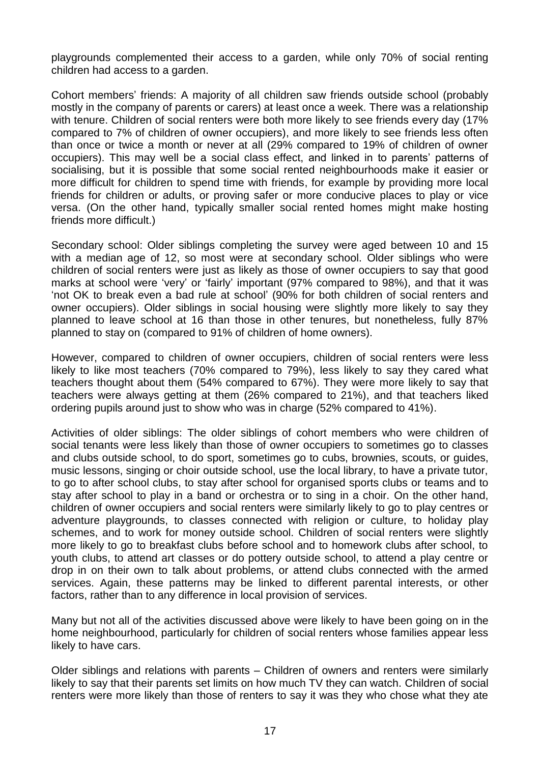playgrounds complemented their access to a garden, while only 70% of social renting children had access to a garden.

Cohort members' friends: A majority of all children saw friends outside school (probably mostly in the company of parents or carers) at least once a week. There was a relationship with tenure. Children of social renters were both more likely to see friends every day (17% compared to 7% of children of owner occupiers), and more likely to see friends less often than once or twice a month or never at all (29% compared to 19% of children of owner occupiers). This may well be a social class effect, and linked in to parents' patterns of socialising, but it is possible that some social rented neighbourhoods make it easier or more difficult for children to spend time with friends, for example by providing more local friends for children or adults, or proving safer or more conducive places to play or vice versa. (On the other hand, typically smaller social rented homes might make hosting friends more difficult.)

Secondary school: Older siblings completing the survey were aged between 10 and 15 with a median age of 12, so most were at secondary school. Older siblings who were children of social renters were just as likely as those of owner occupiers to say that good marks at school were 'very' or 'fairly' important (97% compared to 98%), and that it was 'not OK to break even a bad rule at school' (90% for both children of social renters and owner occupiers). Older siblings in social housing were slightly more likely to say they planned to leave school at 16 than those in other tenures, but nonetheless, fully 87% planned to stay on (compared to 91% of children of home owners).

However, compared to children of owner occupiers, children of social renters were less likely to like most teachers (70% compared to 79%), less likely to say they cared what teachers thought about them (54% compared to 67%). They were more likely to say that teachers were always getting at them (26% compared to 21%), and that teachers liked ordering pupils around just to show who was in charge (52% compared to 41%).

Activities of older siblings: The older siblings of cohort members who were children of social tenants were less likely than those of owner occupiers to sometimes go to classes and clubs outside school, to do sport, sometimes go to cubs, brownies, scouts, or guides, music lessons, singing or choir outside school, use the local library, to have a private tutor, to go to after school clubs, to stay after school for organised sports clubs or teams and to stay after school to play in a band or orchestra or to sing in a choir. On the other hand, children of owner occupiers and social renters were similarly likely to go to play centres or adventure playgrounds, to classes connected with religion or culture, to holiday play schemes, and to work for money outside school. Children of social renters were slightly more likely to go to breakfast clubs before school and to homework clubs after school, to youth clubs, to attend art classes or do pottery outside school, to attend a play centre or drop in on their own to talk about problems, or attend clubs connected with the armed services. Again, these patterns may be linked to different parental interests, or other factors, rather than to any difference in local provision of services.

Many but not all of the activities discussed above were likely to have been going on in the home neighbourhood, particularly for children of social renters whose families appear less likely to have cars.

Older siblings and relations with parents – Children of owners and renters were similarly likely to say that their parents set limits on how much TV they can watch. Children of social renters were more likely than those of renters to say it was they who chose what they ate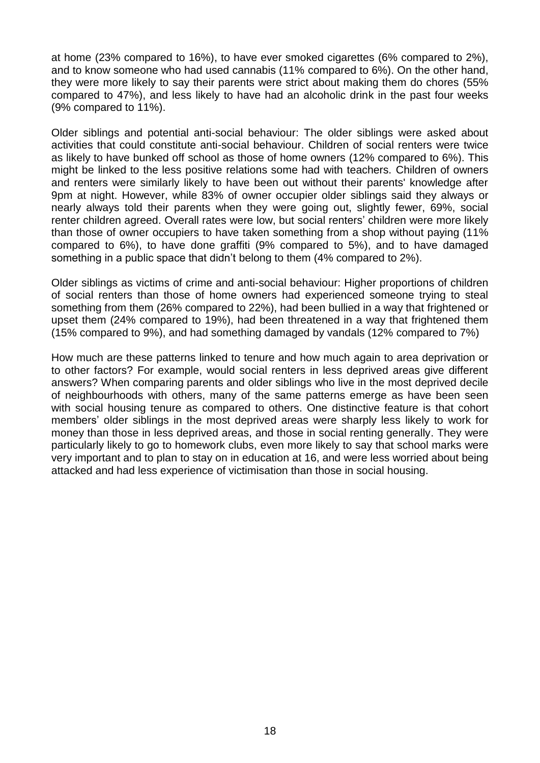at home (23% compared to 16%), to have ever smoked cigarettes (6% compared to 2%), and to know someone who had used cannabis (11% compared to 6%). On the other hand, they were more likely to say their parents were strict about making them do chores (55% compared to 47%), and less likely to have had an alcoholic drink in the past four weeks (9% compared to 11%).

Older siblings and potential anti-social behaviour: The older siblings were asked about activities that could constitute anti-social behaviour. Children of social renters were twice as likely to have bunked off school as those of home owners (12% compared to 6%). This might be linked to the less positive relations some had with teachers. Children of owners and renters were similarly likely to have been out without their parents' knowledge after 9pm at night. However, while 83% of owner occupier older siblings said they always or nearly always told their parents when they were going out, slightly fewer, 69%, social renter children agreed. Overall rates were low, but social renters' children were more likely than those of owner occupiers to have taken something from a shop without paying (11% compared to 6%), to have done graffiti (9% compared to 5%), and to have damaged something in a public space that didn't belong to them (4% compared to 2%).

Older siblings as victims of crime and anti-social behaviour: Higher proportions of children of social renters than those of home owners had experienced someone trying to steal something from them (26% compared to 22%), had been bullied in a way that frightened or upset them (24% compared to 19%), had been threatened in a way that frightened them (15% compared to 9%), and had something damaged by vandals (12% compared to 7%)

How much are these patterns linked to tenure and how much again to area deprivation or to other factors? For example, would social renters in less deprived areas give different answers? When comparing parents and older siblings who live in the most deprived decile of neighbourhoods with others, many of the same patterns emerge as have been seen with social housing tenure as compared to others. One distinctive feature is that cohort members' older siblings in the most deprived areas were sharply less likely to work for money than those in less deprived areas, and those in social renting generally. They were particularly likely to go to homework clubs, even more likely to say that school marks were very important and to plan to stay on in education at 16, and were less worried about being attacked and had less experience of victimisation than those in social housing.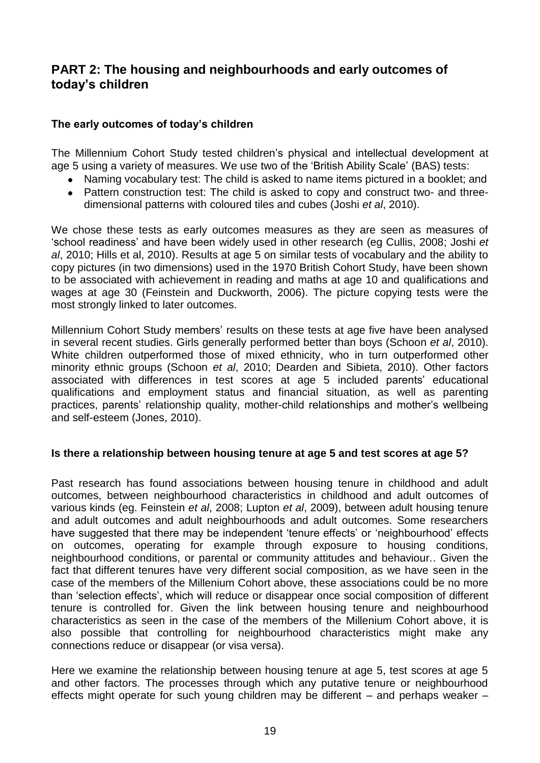## <span id="page-22-0"></span>**PART 2: The housing and neighbourhoods and early outcomes of today's children**

### <span id="page-22-1"></span>**The early outcomes of today's children**

The Millennium Cohort Study tested children's physical and intellectual development at age 5 using a variety of measures. We use two of the 'British Ability Scale' (BAS) tests:

- Naming vocabulary test: The child is asked to name items pictured in a booklet: and
- Pattern construction test: The child is asked to copy and construct two- and threedimensional patterns with coloured tiles and cubes (Joshi *et al*, 2010).

We chose these tests as early outcomes measures as they are seen as measures of 'school readiness' and have been widely used in other research (eg Cullis, 2008; Joshi *et al*, 2010; Hills et al, 2010). Results at age 5 on similar tests of vocabulary and the ability to copy pictures (in two dimensions) used in the 1970 British Cohort Study, have been shown to be associated with achievement in reading and maths at age 10 and qualifications and wages at age 30 (Feinstein and Duckworth, 2006). The picture copying tests were the most strongly linked to later outcomes.

Millennium Cohort Study members' results on these tests at age five have been analysed in several recent studies. Girls generally performed better than boys (Schoon *et al*, 2010). White children outperformed those of mixed ethnicity, who in turn outperformed other minority ethnic groups (Schoon *et al*, 2010; Dearden and Sibieta, 2010). Other factors associated with differences in test scores at age 5 included parents' educational qualifications and employment status and financial situation, as well as parenting practices, parents' relationship quality, mother-child relationships and mother's wellbeing and self-esteem (Jones, 2010).

#### <span id="page-22-2"></span>**Is there a relationship between housing tenure at age 5 and test scores at age 5?**

Past research has found associations between housing tenure in childhood and adult outcomes, between neighbourhood characteristics in childhood and adult outcomes of various kinds (eg. Feinstein *et al*, 2008; Lupton *et al*, 2009), between adult housing tenure and adult outcomes and adult neighbourhoods and adult outcomes. Some researchers have suggested that there may be independent 'tenure effects' or 'neighbourhood' effects on outcomes, operating for example through exposure to housing conditions, neighbourhood conditions, or parental or community attitudes and behaviour.. Given the fact that different tenures have very different social composition, as we have seen in the case of the members of the Millenium Cohort above, these associations could be no more than 'selection effects', which will reduce or disappear once social composition of different tenure is controlled for. Given the link between housing tenure and neighbourhood characteristics as seen in the case of the members of the Millenium Cohort above, it is also possible that controlling for neighbourhood characteristics might make any connections reduce or disappear (or visa versa).

Here we examine the relationship between housing tenure at age 5, test scores at age 5 and other factors. The processes through which any putative tenure or neighbourhood effects might operate for such young children may be different – and perhaps weaker –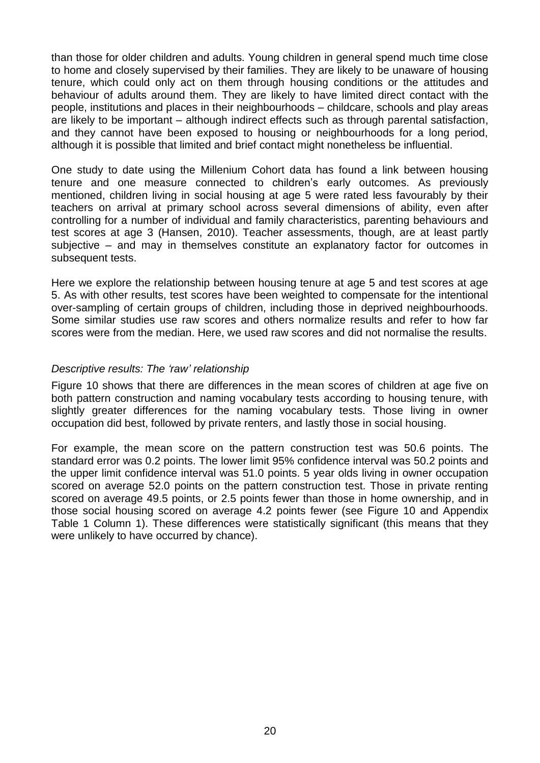than those for older children and adults. Young children in general spend much time close to home and closely supervised by their families. They are likely to be unaware of housing tenure, which could only act on them through housing conditions or the attitudes and behaviour of adults around them. They are likely to have limited direct contact with the people, institutions and places in their neighbourhoods – childcare, schools and play areas are likely to be important – although indirect effects such as through parental satisfaction, and they cannot have been exposed to housing or neighbourhoods for a long period, although it is possible that limited and brief contact might nonetheless be influential.

One study to date using the Millenium Cohort data has found a link between housing tenure and one measure connected to children's early outcomes. As previously mentioned, children living in social housing at age 5 were rated less favourably by their teachers on arrival at primary school across several dimensions of ability, even after controlling for a number of individual and family characteristics, parenting behaviours and test scores at age 3 (Hansen, 2010). Teacher assessments, though, are at least partly subjective – and may in themselves constitute an explanatory factor for outcomes in subsequent tests.

Here we explore the relationship between housing tenure at age 5 and test scores at age 5. As with other results, test scores have been weighted to compensate for the intentional over-sampling of certain groups of children, including those in deprived neighbourhoods. Some similar studies use raw scores and others normalize results and refer to how far scores were from the median. Here, we used raw scores and did not normalise the results.

### *Descriptive results: The 'raw' relationship*

Figure 10 shows that there are differences in the mean scores of children at age five on both pattern construction and naming vocabulary tests according to housing tenure, with slightly greater differences for the naming vocabulary tests. Those living in owner occupation did best, followed by private renters, and lastly those in social housing.

For example, the mean score on the pattern construction test was 50.6 points. The standard error was 0.2 points. The lower limit 95% confidence interval was 50.2 points and the upper limit confidence interval was 51.0 points. 5 year olds living in owner occupation scored on average 52.0 points on the pattern construction test. Those in private renting scored on average 49.5 points, or 2.5 points fewer than those in home ownership, and in those social housing scored on average 4.2 points fewer (see Figure 10 and Appendix Table 1 Column 1). These differences were statistically significant (this means that they were unlikely to have occurred by chance).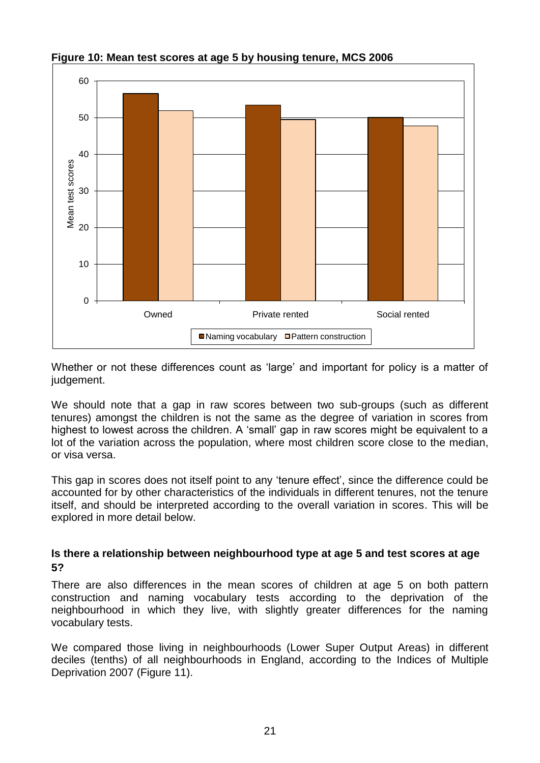

**Figure 10: Mean test scores at age 5 by housing tenure, MCS 2006**

Whether or not these differences count as 'large' and important for policy is a matter of judgement.

We should note that a gap in raw scores between two sub-groups (such as different tenures) amongst the children is not the same as the degree of variation in scores from highest to lowest across the children. A 'small' gap in raw scores might be equivalent to a lot of the variation across the population, where most children score close to the median, or visa versa.

This gap in scores does not itself point to any 'tenure effect', since the difference could be accounted for by other characteristics of the individuals in different tenures, not the tenure itself, and should be interpreted according to the overall variation in scores. This will be explored in more detail below.

### <span id="page-24-0"></span>**Is there a relationship between neighbourhood type at age 5 and test scores at age 5?**

There are also differences in the mean scores of children at age 5 on both pattern construction and naming vocabulary tests according to the deprivation of the neighbourhood in which they live, with slightly greater differences for the naming vocabulary tests.

We compared those living in neighbourhoods (Lower Super Output Areas) in different deciles (tenths) of all neighbourhoods in England, according to the Indices of Multiple Deprivation 2007 (Figure 11).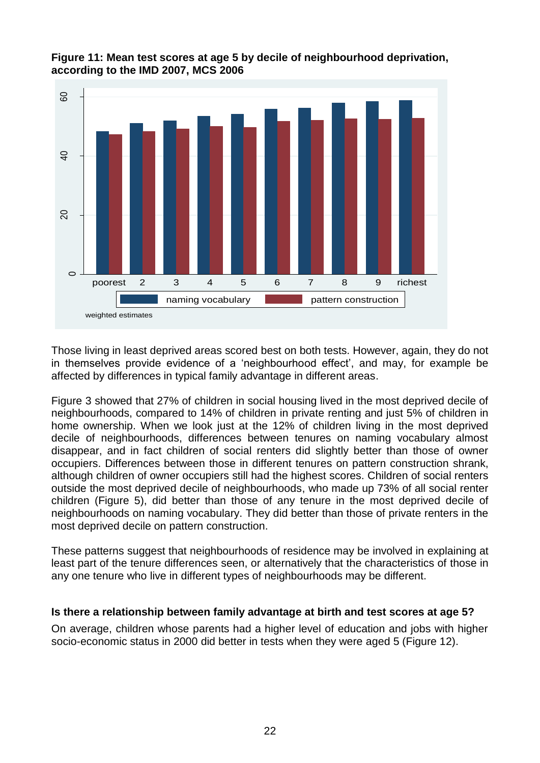

### **Figure 11: Mean test scores at age 5 by decile of neighbourhood deprivation, according to the IMD 2007, MCS 2006**

Those living in least deprived areas scored best on both tests. However, again, they do not in themselves provide evidence of a 'neighbourhood effect', and may, for example be affected by differences in typical family advantage in different areas.

Figure 3 showed that 27% of children in social housing lived in the most deprived decile of neighbourhoods, compared to 14% of children in private renting and just 5% of children in home ownership. When we look just at the 12% of children living in the most deprived decile of neighbourhoods, differences between tenures on naming vocabulary almost disappear, and in fact children of social renters did slightly better than those of owner occupiers. Differences between those in different tenures on pattern construction shrank, although children of owner occupiers still had the highest scores. Children of social renters outside the most deprived decile of neighbourhoods, who made up 73% of all social renter children (Figure 5), did better than those of any tenure in the most deprived decile of neighbourhoods on naming vocabulary. They did better than those of private renters in the most deprived decile on pattern construction.

These patterns suggest that neighbourhoods of residence may be involved in explaining at least part of the tenure differences seen, or alternatively that the characteristics of those in any one tenure who live in different types of neighbourhoods may be different.

### <span id="page-25-0"></span>**Is there a relationship between family advantage at birth and test scores at age 5?**

On average, children whose parents had a higher level of education and jobs with higher socio-economic status in 2000 did better in tests when they were aged 5 (Figure 12).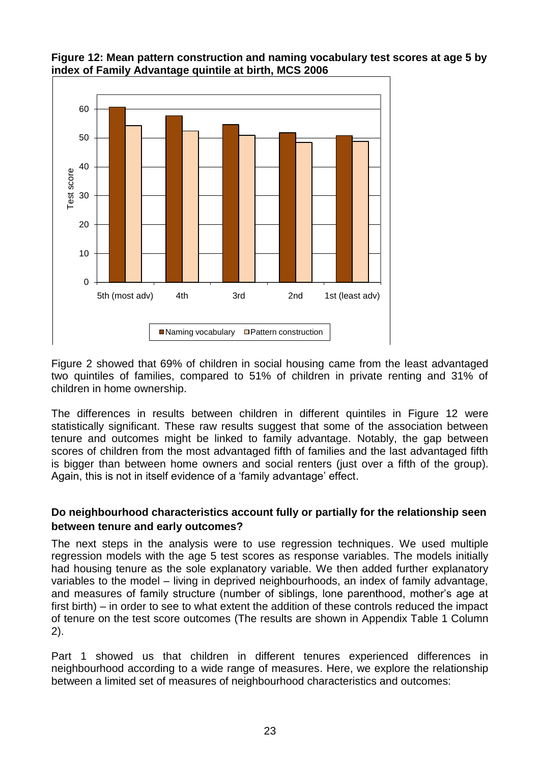

**Figure 12: Mean pattern construction and naming vocabulary test scores at age 5 by index of Family Advantage quintile at birth, MCS 2006**

Figure 2 showed that 69% of children in social housing came from the least advantaged two quintiles of families, compared to 51% of children in private renting and 31% of children in home ownership.

The differences in results between children in different quintiles in Figure 12 were statistically significant. These raw results suggest that some of the association between tenure and outcomes might be linked to family advantage. Notably, the gap between scores of children from the most advantaged fifth of families and the last advantaged fifth is bigger than between home owners and social renters (just over a fifth of the group). Again, this is not in itself evidence of a 'family advantage' effect.

### <span id="page-26-0"></span>**Do neighbourhood characteristics account fully or partially for the relationship seen between tenure and early outcomes?**

The next steps in the analysis were to use regression techniques. We used multiple regression models with the age 5 test scores as response variables. The models initially had housing tenure as the sole explanatory variable. We then added further explanatory variables to the model – living in deprived neighbourhoods, an index of family advantage, and measures of family structure (number of siblings, lone parenthood, mother's age at first birth) – in order to see to what extent the addition of these controls reduced the impact of tenure on the test score outcomes (The results are shown in Appendix Table 1 Column 2).

Part 1 showed us that children in different tenures experienced differences in neighbourhood according to a wide range of measures. Here, we explore the relationship between a limited set of measures of neighbourhood characteristics and outcomes: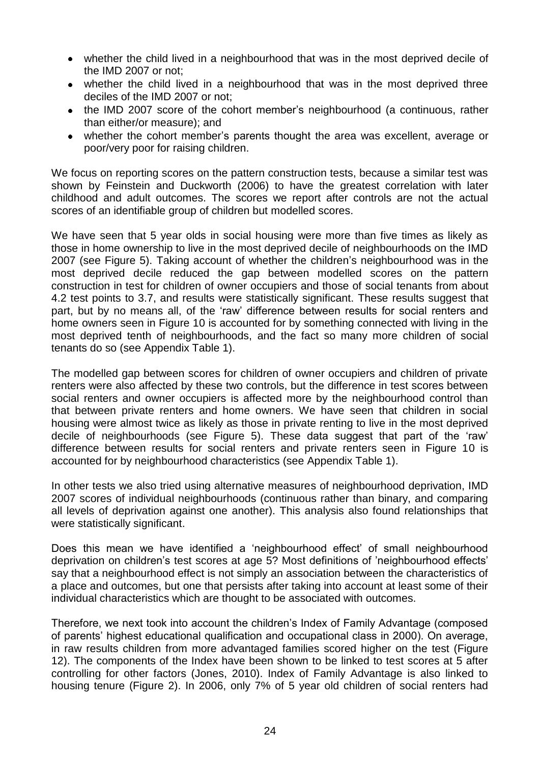- whether the child lived in a neighbourhood that was in the most deprived decile of the IMD 2007 or not;
- whether the child lived in a neighbourhood that was in the most deprived three  $\bullet$ deciles of the IMD 2007 or not;
- the IMD 2007 score of the cohort member's neighbourhood (a continuous, rather than either/or measure); and
- $\bullet$ whether the cohort member's parents thought the area was excellent, average or poor/very poor for raising children.

We focus on reporting scores on the pattern construction tests, because a similar test was shown by Feinstein and Duckworth (2006) to have the greatest correlation with later childhood and adult outcomes. The scores we report after controls are not the actual scores of an identifiable group of children but modelled scores.

We have seen that 5 year olds in social housing were more than five times as likely as those in home ownership to live in the most deprived decile of neighbourhoods on the IMD 2007 (see Figure 5). Taking account of whether the children's neighbourhood was in the most deprived decile reduced the gap between modelled scores on the pattern construction in test for children of owner occupiers and those of social tenants from about 4.2 test points to 3.7, and results were statistically significant. These results suggest that part, but by no means all, of the 'raw' difference between results for social renters and home owners seen in Figure 10 is accounted for by something connected with living in the most deprived tenth of neighbourhoods, and the fact so many more children of social tenants do so (see Appendix Table 1).

The modelled gap between scores for children of owner occupiers and children of private renters were also affected by these two controls, but the difference in test scores between social renters and owner occupiers is affected more by the neighbourhood control than that between private renters and home owners. We have seen that children in social housing were almost twice as likely as those in private renting to live in the most deprived decile of neighbourhoods (see Figure 5). These data suggest that part of the 'raw' difference between results for social renters and private renters seen in Figure 10 is accounted for by neighbourhood characteristics (see Appendix Table 1).

In other tests we also tried using alternative measures of neighbourhood deprivation, IMD 2007 scores of individual neighbourhoods (continuous rather than binary, and comparing all levels of deprivation against one another). This analysis also found relationships that were statistically significant.

Does this mean we have identified a 'neighbourhood effect' of small neighbourhood deprivation on children's test scores at age 5? Most definitions of 'neighbourhood effects' say that a neighbourhood effect is not simply an association between the characteristics of a place and outcomes, but one that persists after taking into account at least some of their individual characteristics which are thought to be associated with outcomes.

Therefore, we next took into account the children's Index of Family Advantage (composed of parents' highest educational qualification and occupational class in 2000). On average, in raw results children from more advantaged families scored higher on the test (Figure 12). The components of the Index have been shown to be linked to test scores at 5 after controlling for other factors (Jones, 2010). Index of Family Advantage is also linked to housing tenure (Figure 2). In 2006, only 7% of 5 year old children of social renters had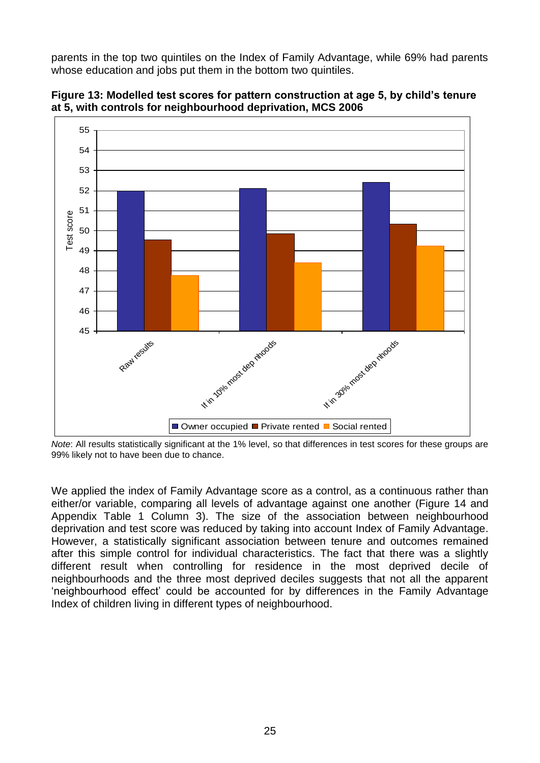parents in the top two quintiles on the Index of Family Advantage, while 69% had parents whose education and jobs put them in the bottom two quintiles.



**Figure 13: Modelled test scores for pattern construction at age 5, by child's tenure at 5, with controls for neighbourhood deprivation, MCS 2006**

*Note*: All results statistically significant at the 1% level, so that differences in test scores for these groups are 99% likely not to have been due to chance.

We applied the index of Family Advantage score as a control, as a continuous rather than either/or variable, comparing all levels of advantage against one another (Figure 14 and Appendix Table 1 Column 3). The size of the association between neighbourhood deprivation and test score was reduced by taking into account Index of Family Advantage. However, a statistically significant association between tenure and outcomes remained after this simple control for individual characteristics. The fact that there was a slightly different result when controlling for residence in the most deprived decile of neighbourhoods and the three most deprived deciles suggests that not all the apparent 'neighbourhood effect' could be accounted for by differences in the Family Advantage Index of children living in different types of neighbourhood.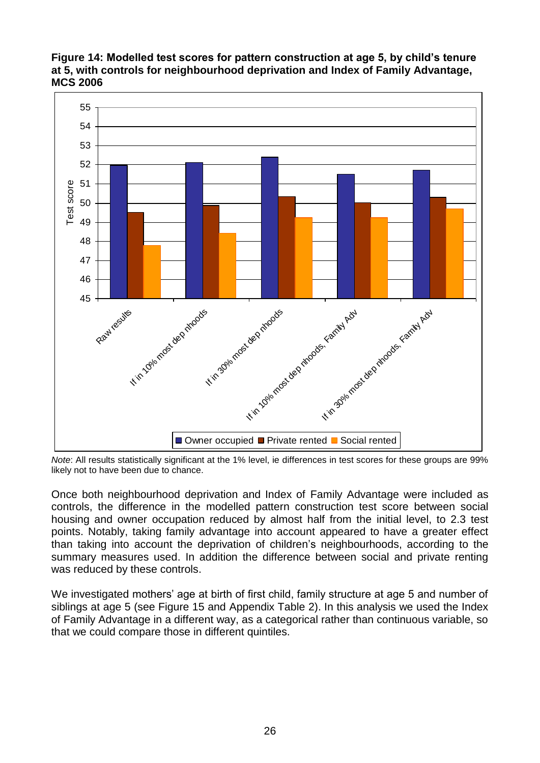

### **Figure 14: Modelled test scores for pattern construction at age 5, by child's tenure at 5, with controls for neighbourhood deprivation and Index of Family Advantage, MCS 2006**

*Note*: All results statistically significant at the 1% level, ie differences in test scores for these groups are 99% likely not to have been due to chance.

Once both neighbourhood deprivation and Index of Family Advantage were included as controls, the difference in the modelled pattern construction test score between social housing and owner occupation reduced by almost half from the initial level, to 2.3 test points. Notably, taking family advantage into account appeared to have a greater effect than taking into account the deprivation of children's neighbourhoods, according to the summary measures used. In addition the difference between social and private renting was reduced by these controls.

We investigated mothers' age at birth of first child, family structure at age 5 and number of siblings at age 5 (see Figure 15 and Appendix Table 2). In this analysis we used the Index of Family Advantage in a different way, as a categorical rather than continuous variable, so that we could compare those in different quintiles.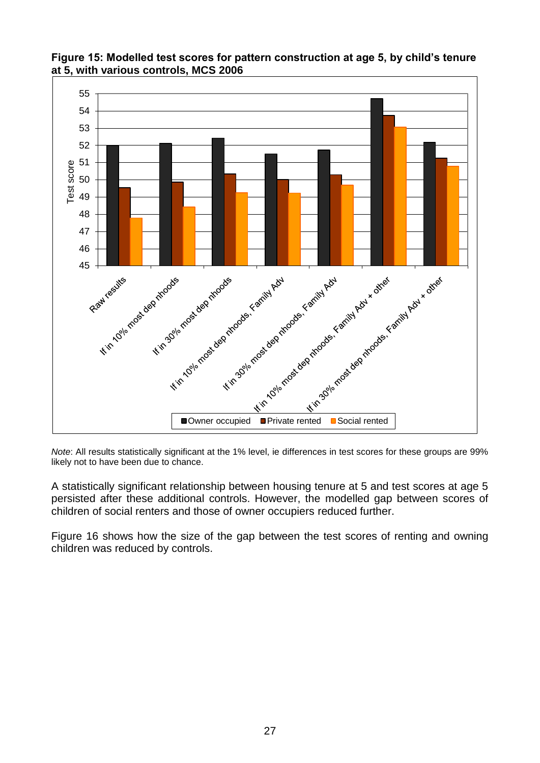



*Note*: All results statistically significant at the 1% level, ie differences in test scores for these groups are 99% likely not to have been due to chance.

A statistically significant relationship between housing tenure at 5 and test scores at age 5 persisted after these additional controls. However, the modelled gap between scores of children of social renters and those of owner occupiers reduced further.

Figure 16 shows how the size of the gap between the test scores of renting and owning children was reduced by controls.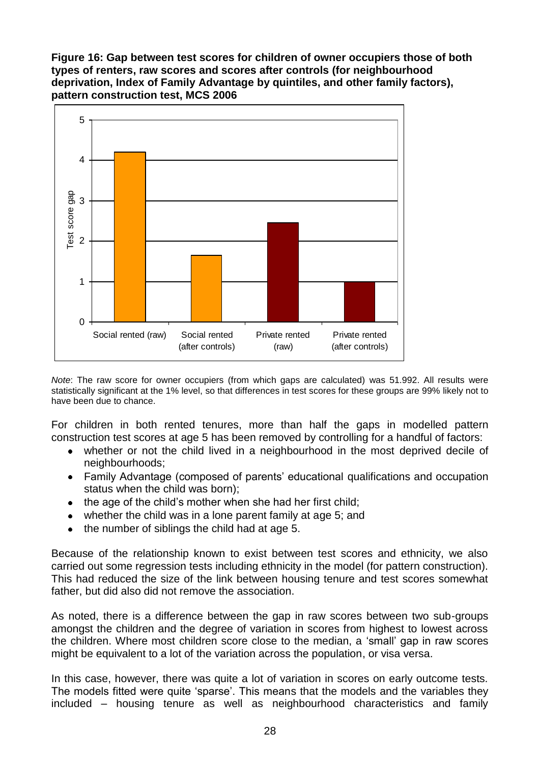**Figure 16: Gap between test scores for children of owner occupiers those of both types of renters, raw scores and scores after controls (for neighbourhood deprivation, Index of Family Advantage by quintiles, and other family factors), pattern construction test, MCS 2006**



*Note*: The raw score for owner occupiers (from which gaps are calculated) was 51.992. All results were statistically significant at the 1% level, so that differences in test scores for these groups are 99% likely not to have been due to chance.

For children in both rented tenures, more than half the gaps in modelled pattern construction test scores at age 5 has been removed by controlling for a handful of factors:

- $\bullet$ whether or not the child lived in a neighbourhood in the most deprived decile of neighbourhoods;
- Family Advantage (composed of parents' educational qualifications and occupation status when the child was born);
- the age of the child's mother when she had her first child;
- whether the child was in a lone parent family at age 5; and
- the number of siblings the child had at age 5.  $\bullet$

Because of the relationship known to exist between test scores and ethnicity, we also carried out some regression tests including ethnicity in the model (for pattern construction). This had reduced the size of the link between housing tenure and test scores somewhat father, but did also did not remove the association.

As noted, there is a difference between the gap in raw scores between two sub-groups amongst the children and the degree of variation in scores from highest to lowest across the children. Where most children score close to the median, a 'small' gap in raw scores might be equivalent to a lot of the variation across the population, or visa versa.

In this case, however, there was quite a lot of variation in scores on early outcome tests. The models fitted were quite 'sparse'. This means that the models and the variables they included – housing tenure as well as neighbourhood characteristics and family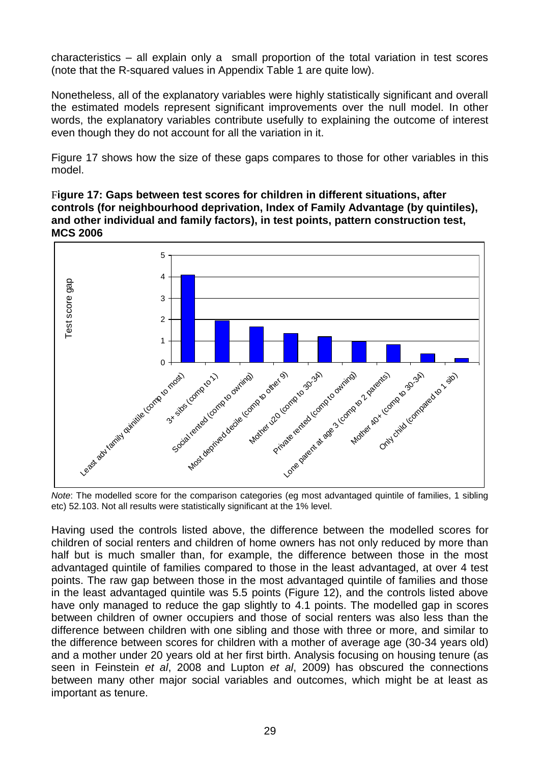characteristics – all explain only a small proportion of the total variation in test scores (note that the R-squared values in Appendix Table 1 are quite low).

Nonetheless, all of the explanatory variables were highly statistically significant and overall the estimated models represent significant improvements over the null model. In other words, the explanatory variables contribute usefully to explaining the outcome of interest even though they do not account for all the variation in it.

Figure 17 shows how the size of these gaps compares to those for other variables in this model.

#### F**igure 17: Gaps between test scores for children in different situations, after controls (for neighbourhood deprivation, Index of Family Advantage (by quintiles), and other individual and family factors), in test points, pattern construction test, MCS 2006**



*Note*: The modelled score for the comparison categories (eg most advantaged quintile of families, 1 sibling etc) 52.103. Not all results were statistically significant at the 1% level.

Having used the controls listed above, the difference between the modelled scores for children of social renters and children of home owners has not only reduced by more than half but is much smaller than, for example, the difference between those in the most advantaged quintile of families compared to those in the least advantaged, at over 4 test points. The raw gap between those in the most advantaged quintile of families and those in the least advantaged quintile was 5.5 points (Figure 12), and the controls listed above have only managed to reduce the gap slightly to 4.1 points. The modelled gap in scores between children of owner occupiers and those of social renters was also less than the difference between children with one sibling and those with three or more, and similar to the difference between scores for children with a mother of average age (30-34 years old) and a mother under 20 years old at her first birth. Analysis focusing on housing tenure (as seen in Feinstein *et al*, 2008 and Lupton *et al*, 2009) has obscured the connections between many other major social variables and outcomes, which might be at least as important as tenure.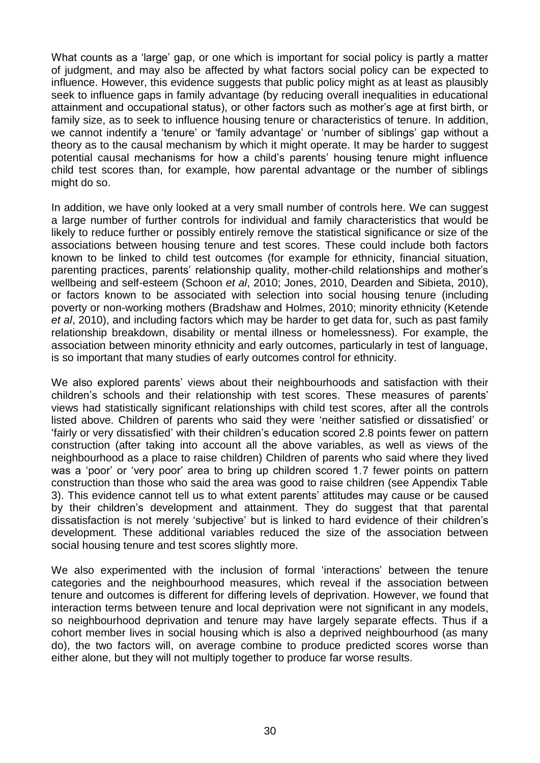What counts as a 'large' gap, or one which is important for social policy is partly a matter of judgment, and may also be affected by what factors social policy can be expected to influence. However, this evidence suggests that public policy might as at least as plausibly seek to influence gaps in family advantage (by reducing overall inequalities in educational attainment and occupational status), or other factors such as mother's age at first birth, or family size, as to seek to influence housing tenure or characteristics of tenure. In addition, we cannot indentify a 'tenure' or 'family advantage' or 'number of siblings' gap without a theory as to the causal mechanism by which it might operate. It may be harder to suggest potential causal mechanisms for how a child's parents' housing tenure might influence child test scores than, for example, how parental advantage or the number of siblings might do so.

In addition, we have only looked at a very small number of controls here. We can suggest a large number of further controls for individual and family characteristics that would be likely to reduce further or possibly entirely remove the statistical significance or size of the associations between housing tenure and test scores. These could include both factors known to be linked to child test outcomes (for example for ethnicity, financial situation, parenting practices, parents' relationship quality, mother-child relationships and mother's wellbeing and self-esteem (Schoon *et al*, 2010; Jones, 2010, Dearden and Sibieta, 2010), or factors known to be associated with selection into social housing tenure (including poverty or non-working mothers (Bradshaw and Holmes, 2010; minority ethnicity (Ketende *et al*, 2010), and including factors which may be harder to get data for, such as past family relationship breakdown, disability or mental illness or homelessness). For example, the association between minority ethnicity and early outcomes, particularly in test of language, is so important that many studies of early outcomes control for ethnicity.

We also explored parents' views about their neighbourhoods and satisfaction with their children's schools and their relationship with test scores. These measures of parents' views had statistically significant relationships with child test scores, after all the controls listed above. Children of parents who said they were 'neither satisfied or dissatisfied' or 'fairly or very dissatisfied' with their children's education scored 2.8 points fewer on pattern construction (after taking into account all the above variables, as well as views of the neighbourhood as a place to raise children) Children of parents who said where they lived was a 'poor' or 'very poor' area to bring up children scored 1.7 fewer points on pattern construction than those who said the area was good to raise children (see Appendix Table 3). This evidence cannot tell us to what extent parents' attitudes may cause or be caused by their children's development and attainment. They do suggest that that parental dissatisfaction is not merely 'subjective' but is linked to hard evidence of their children's development. These additional variables reduced the size of the association between social housing tenure and test scores slightly more.

We also experimented with the inclusion of formal 'interactions' between the tenure categories and the neighbourhood measures, which reveal if the association between tenure and outcomes is different for differing levels of deprivation. However, we found that interaction terms between tenure and local deprivation were not significant in any models, so neighbourhood deprivation and tenure may have largely separate effects. Thus if a cohort member lives in social housing which is also a deprived neighbourhood (as many do), the two factors will, on average combine to produce predicted scores worse than either alone, but they will not multiply together to produce far worse results.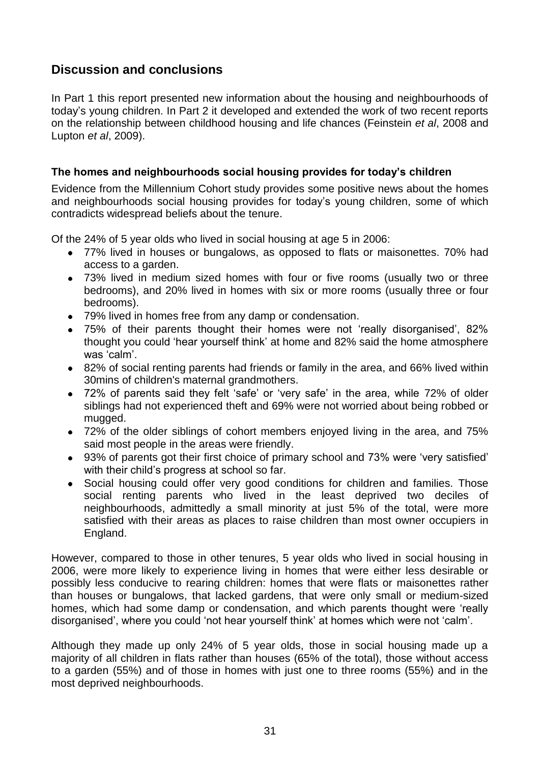# <span id="page-34-0"></span>**Discussion and conclusions**

In Part 1 this report presented new information about the housing and neighbourhoods of today's young children. In Part 2 it developed and extended the work of two recent reports on the relationship between childhood housing and life chances (Feinstein *et al*, 2008 and Lupton *et al*, 2009).

### <span id="page-34-1"></span>**The homes and neighbourhoods social housing provides for today's children**

Evidence from the Millennium Cohort study provides some positive news about the homes and neighbourhoods social housing provides for today's young children, some of which contradicts widespread beliefs about the tenure.

Of the 24% of 5 year olds who lived in social housing at age 5 in 2006:

- 77% lived in houses or bungalows, as opposed to flats or maisonettes. 70% had access to a garden.
- 73% lived in medium sized homes with four or five rooms (usually two or three bedrooms), and 20% lived in homes with six or more rooms (usually three or four bedrooms).
- 79% lived in homes free from any damp or condensation.
- 75% of their parents thought their homes were not 'really disorganised', 82% thought you could 'hear yourself think' at home and 82% said the home atmosphere was 'calm'.
- 82% of social renting parents had friends or family in the area, and 66% lived within  $\bullet$ 30mins of children's maternal grandmothers.
- 72% of parents said they felt 'safe' or 'very safe' in the area, while 72% of older siblings had not experienced theft and 69% were not worried about being robbed or mugged.
- 72% of the older siblings of cohort members enjoyed living in the area, and 75%  $\bullet$ said most people in the areas were friendly.
- 93% of parents got their first choice of primary school and 73% were 'very satisfied'  $\bullet$ with their child's progress at school so far.
- $\bullet$ Social housing could offer very good conditions for children and families. Those social renting parents who lived in the least deprived two deciles of neighbourhoods, admittedly a small minority at just 5% of the total, were more satisfied with their areas as places to raise children than most owner occupiers in England.

However, compared to those in other tenures, 5 year olds who lived in social housing in 2006, were more likely to experience living in homes that were either less desirable or possibly less conducive to rearing children: homes that were flats or maisonettes rather than houses or bungalows, that lacked gardens, that were only small or medium-sized homes, which had some damp or condensation, and which parents thought were 'really disorganised', where you could 'not hear yourself think' at homes which were not 'calm'.

Although they made up only 24% of 5 year olds, those in social housing made up a majority of all children in flats rather than houses (65% of the total), those without access to a garden (55%) and of those in homes with just one to three rooms (55%) and in the most deprived neighbourhoods.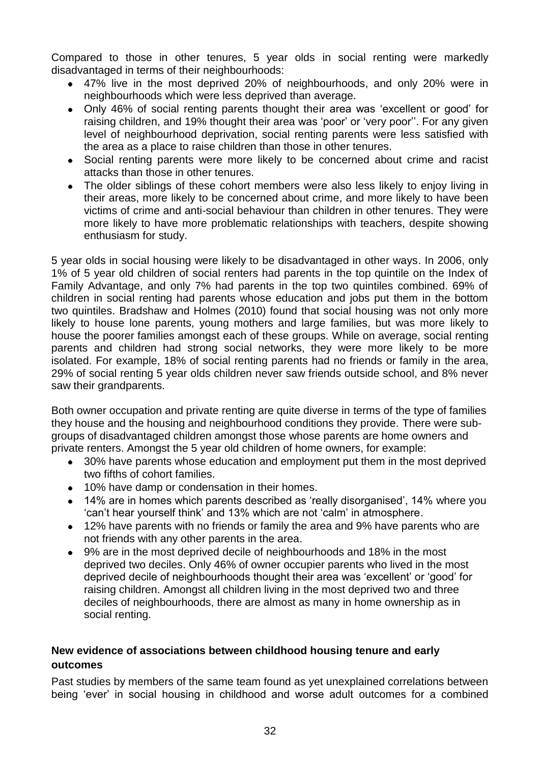Compared to those in other tenures, 5 year olds in social renting were markedly disadvantaged in terms of their neighbourhoods:

- 47% live in the most deprived 20% of neighbourhoods, and only 20% were in neighbourhoods which were less deprived than average.
- Only 46% of social renting parents thought their area was 'excellent or good' for raising children, and 19% thought their area was 'poor' or 'very poor''. For any given level of neighbourhood deprivation, social renting parents were less satisfied with the area as a place to raise children than those in other tenures.
- Social renting parents were more likely to be concerned about crime and racist attacks than those in other tenures.
- The older siblings of these cohort members were also less likely to enjoy living in  $\bullet$ their areas, more likely to be concerned about crime, and more likely to have been victims of crime and anti-social behaviour than children in other tenures. They were more likely to have more problematic relationships with teachers, despite showing enthusiasm for study.

5 year olds in social housing were likely to be disadvantaged in other ways. In 2006, only 1% of 5 year old children of social renters had parents in the top quintile on the Index of Family Advantage, and only 7% had parents in the top two quintiles combined. 69% of children in social renting had parents whose education and jobs put them in the bottom two quintiles. Bradshaw and Holmes (2010) found that social housing was not only more likely to house lone parents, young mothers and large families, but was more likely to house the poorer families amongst each of these groups. While on average, social renting parents and children had strong social networks, they were more likely to be more isolated. For example, 18% of social renting parents had no friends or family in the area, 29% of social renting 5 year olds children never saw friends outside school, and 8% never saw their grandparents.

Both owner occupation and private renting are quite diverse in terms of the type of families they house and the housing and neighbourhood conditions they provide. There were subgroups of disadvantaged children amongst those whose parents are home owners and private renters. Amongst the 5 year old children of home owners, for example:

- 30% have parents whose education and employment put them in the most deprived  $\bullet$ two fifths of cohort families.
- 10% have damp or condensation in their homes.
- 14% are in homes which parents described as 'really disorganised', 14% where you 'can't hear yourself think' and 13% which are not 'calm' in atmosphere.
- 12% have parents with no friends or family the area and 9% have parents who are not friends with any other parents in the area.
- 9% are in the most deprived decile of neighbourhoods and 18% in the most  $\bullet$ deprived two deciles. Only 46% of owner occupier parents who lived in the most deprived decile of neighbourhoods thought their area was 'excellent' or 'good' for raising children. Amongst all children living in the most deprived two and three deciles of neighbourhoods, there are almost as many in home ownership as in social renting.

### <span id="page-35-0"></span>**New evidence of associations between childhood housing tenure and early outcomes**

Past studies by members of the same team found as yet unexplained correlations between being 'ever' in social housing in childhood and worse adult outcomes for a combined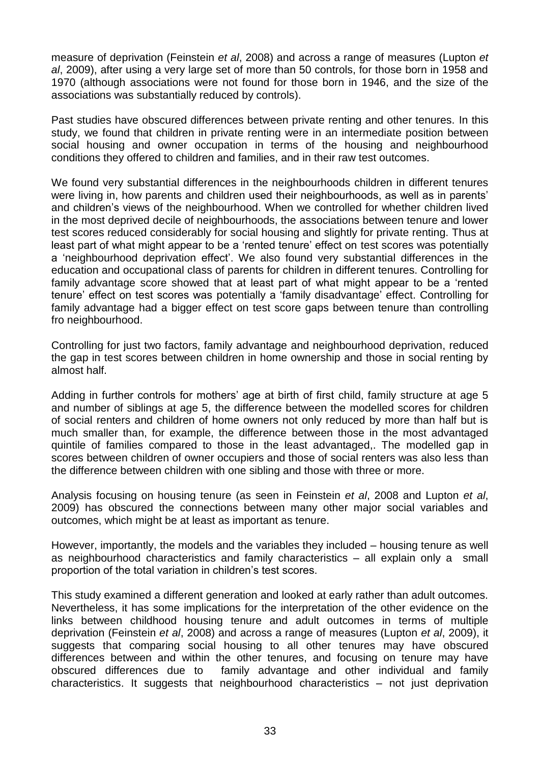measure of deprivation (Feinstein *et al*, 2008) and across a range of measures (Lupton *et al*, 2009), after using a very large set of more than 50 controls, for those born in 1958 and 1970 (although associations were not found for those born in 1946, and the size of the associations was substantially reduced by controls).

Past studies have obscured differences between private renting and other tenures. In this study, we found that children in private renting were in an intermediate position between social housing and owner occupation in terms of the housing and neighbourhood conditions they offered to children and families, and in their raw test outcomes.

We found very substantial differences in the neighbourhoods children in different tenures were living in, how parents and children used their neighbourhoods, as well as in parents' and children's views of the neighbourhood. When we controlled for whether children lived in the most deprived decile of neighbourhoods, the associations between tenure and lower test scores reduced considerably for social housing and slightly for private renting. Thus at least part of what might appear to be a 'rented tenure' effect on test scores was potentially a 'neighbourhood deprivation effect'. We also found very substantial differences in the education and occupational class of parents for children in different tenures. Controlling for family advantage score showed that at least part of what might appear to be a 'rented tenure' effect on test scores was potentially a 'family disadvantage' effect. Controlling for family advantage had a bigger effect on test score gaps between tenure than controlling fro neighbourhood.

Controlling for just two factors, family advantage and neighbourhood deprivation, reduced the gap in test scores between children in home ownership and those in social renting by almost half.

Adding in further controls for mothers' age at birth of first child, family structure at age 5 and number of siblings at age 5, the difference between the modelled scores for children of social renters and children of home owners not only reduced by more than half but is much smaller than, for example, the difference between those in the most advantaged quintile of families compared to those in the least advantaged,. The modelled gap in scores between children of owner occupiers and those of social renters was also less than the difference between children with one sibling and those with three or more.

Analysis focusing on housing tenure (as seen in Feinstein *et al*, 2008 and Lupton *et al*, 2009) has obscured the connections between many other major social variables and outcomes, which might be at least as important as tenure.

However, importantly, the models and the variables they included – housing tenure as well as neighbourhood characteristics and family characteristics – all explain only a small proportion of the total variation in children's test scores.

This study examined a different generation and looked at early rather than adult outcomes. Nevertheless, it has some implications for the interpretation of the other evidence on the links between childhood housing tenure and adult outcomes in terms of multiple deprivation (Feinstein *et al*, 2008) and across a range of measures (Lupton *et al*, 2009), it suggests that comparing social housing to all other tenures may have obscured differences between and within the other tenures, and focusing on tenure may have obscured differences due to family advantage and other individual and family characteristics. It suggests that neighbourhood characteristics – not just deprivation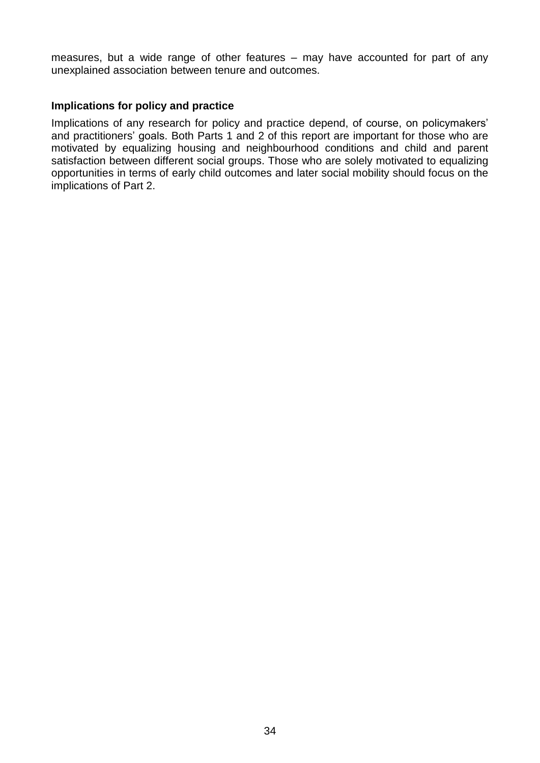measures, but a wide range of other features – may have accounted for part of any unexplained association between tenure and outcomes.

#### <span id="page-37-0"></span>**Implications for policy and practice**

Implications of any research for policy and practice depend, of course, on policymakers' and practitioners' goals. Both Parts 1 and 2 of this report are important for those who are motivated by equalizing housing and neighbourhood conditions and child and parent satisfaction between different social groups. Those who are solely motivated to equalizing opportunities in terms of early child outcomes and later social mobility should focus on the implications of Part 2.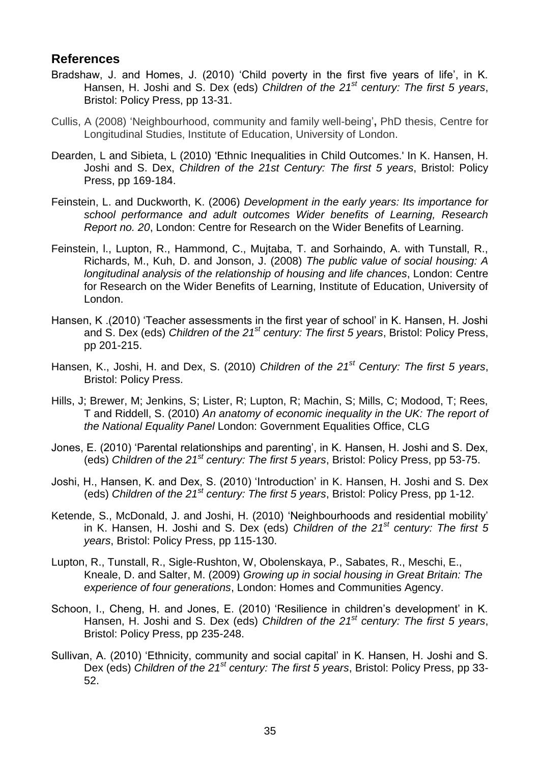### <span id="page-38-0"></span>**References**

- Bradshaw, J. and Homes, J. (2010) 'Child poverty in the first five years of life', in K. Hansen, H. Joshi and S. Dex (eds) *Children of the 21st century: The first 5 years*, Bristol: Policy Press, pp 13-31.
- Cullis, A (2008) 'Neighbourhood, community and family well-being'**,** PhD thesis, Centre for Longitudinal Studies, Institute of Education, University of London.
- Dearden, L and Sibieta, L (2010) 'Ethnic Inequalities in Child Outcomes.' In K. Hansen, H. Joshi and S. Dex, *Children of the 21st Century: The first 5 years*, Bristol: Policy Press, pp 169-184.
- Feinstein, L. and Duckworth, K. (2006) *Development in the early years: Its importance for school performance and adult outcomes Wider benefits of Learning, Research Report no. 20*, London: Centre for Research on the Wider Benefits of Learning.
- Feinstein, l., Lupton, R., Hammond, C., Mujtaba, T. and Sorhaindo, A. with Tunstall, R., Richards, M., Kuh, D. and Jonson, J. (2008) *The public value of social housing: A longitudinal analysis of the relationship of housing and life chances*, London: Centre for Research on the Wider Benefits of Learning, Institute of Education, University of London.
- Hansen, K .(2010) 'Teacher assessments in the first year of school' in K. Hansen, H. Joshi and S. Dex (eds) *Children of the 21st century: The first 5 years*, Bristol: Policy Press, pp 201-215.
- Hansen, K., Joshi, H. and Dex, S. (2010) *Children of the 21st Century: The first 5 years*, Bristol: Policy Press.
- Hills, J; Brewer, M; Jenkins, S; Lister, R; Lupton, R; Machin, S; Mills, C; Modood, T; Rees, T and Riddell, S. (2010) *An anatomy of economic inequality in the UK: The report of the National Equality Panel* London: Government Equalities Office, CLG
- Jones, E. (2010) 'Parental relationships and parenting', in K. Hansen, H. Joshi and S. Dex, (eds) *Children of the 21st century: The first 5 years*, Bristol: Policy Press, pp 53-75.
- Joshi, H., Hansen, K. and Dex, S. (2010) 'Introduction' in K. Hansen, H. Joshi and S. Dex (eds) *Children of the 21st century: The first 5 years*, Bristol: Policy Press, pp 1-12.
- Ketende, S., McDonald, J. and Joshi, H. (2010) 'Neighbourhoods and residential mobility' in K. Hansen, H. Joshi and S. Dex (eds) *Children of the 21st century: The first 5 years*, Bristol: Policy Press, pp 115-130.
- Lupton, R., Tunstall, R., Sigle-Rushton, W, Obolenskaya, P., Sabates, R., Meschi, E., Kneale, D. and Salter, M. (2009) *Growing up in social housing in Great Britain: The experience of four generations*, London: Homes and Communities Agency.
- Schoon, I., Cheng, H. and Jones, E. (2010) 'Resilience in children's development' in K. Hansen, H. Joshi and S. Dex (eds) *Children of the 21st century: The first 5 years*, Bristol: Policy Press, pp 235-248.
- Sullivan, A. (2010) 'Ethnicity, community and social capital' in K. Hansen, H. Joshi and S. Dex (eds) *Children of the 21st century: The first 5 years*, Bristol: Policy Press, pp 33- 52.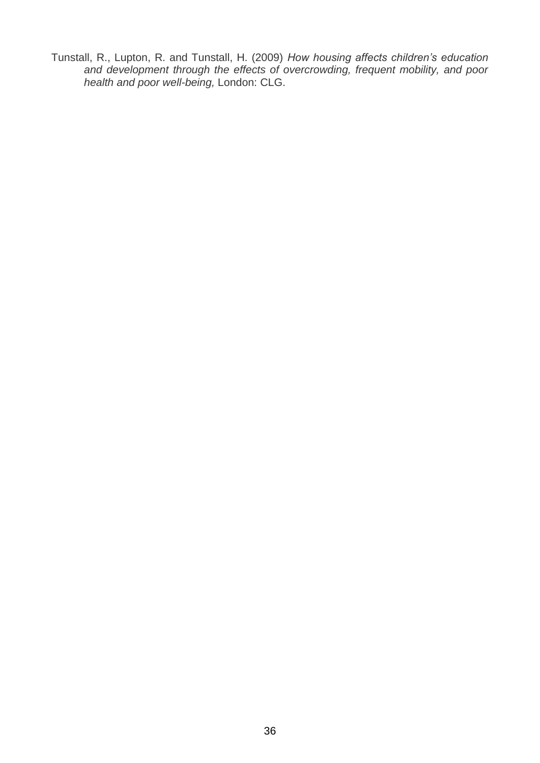Tunstall, R., Lupton, R. and Tunstall, H. (2009) *How housing affects children's education and development through the effects of overcrowding, frequent mobility, and poor health and poor well-being,* London: CLG.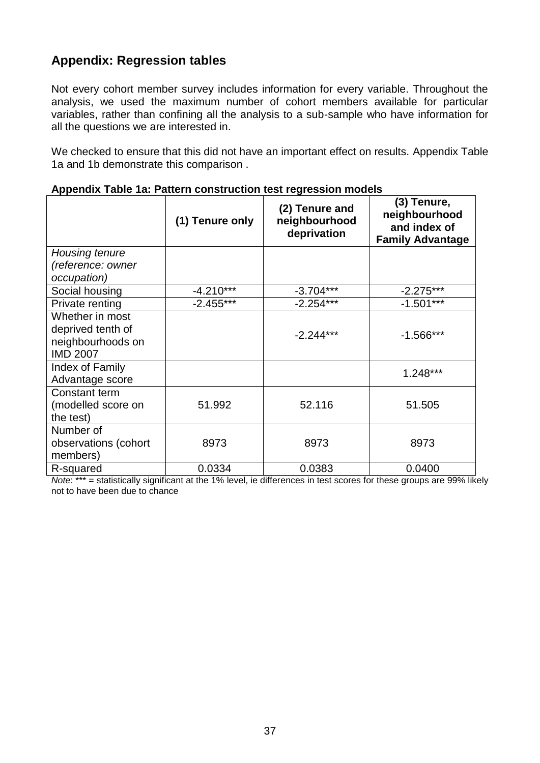# <span id="page-40-0"></span>**Appendix: Regression tables**

Not every cohort member survey includes information for every variable. Throughout the analysis, we used the maximum number of cohort members available for particular variables, rather than confining all the analysis to a sub-sample who have information for all the questions we are interested in.

We checked to ensure that this did not have an important effect on results. Appendix Table 1a and 1b demonstrate this comparison .

|                                                                              | (1) Tenure only | (2) Tenure and<br>neighbourhood<br>deprivation | (3) Tenure,<br>neighbourhood<br>and index of<br><b>Family Advantage</b> |
|------------------------------------------------------------------------------|-----------------|------------------------------------------------|-------------------------------------------------------------------------|
| Housing tenure                                                               |                 |                                                |                                                                         |
| (reference: owner<br>occupation)                                             |                 |                                                |                                                                         |
| Social housing                                                               | $-4.210***$     | $-3.704***$                                    | $-2.275***$                                                             |
| Private renting                                                              | $-2.455***$     | $-2.254***$                                    | $-1.501***$                                                             |
| Whether in most<br>deprived tenth of<br>neighbourhoods on<br><b>IMD 2007</b> |                 | $-2.244***$                                    | $-1.566***$                                                             |
| Index of Family<br>Advantage score                                           |                 |                                                | $1.248***$                                                              |
| Constant term<br>(modelled score on<br>the test)                             | 51.992          | 52.116                                         | 51.505                                                                  |
| Number of                                                                    |                 |                                                |                                                                         |
| observations (cohort<br>members)                                             | 8973            | 8973                                           | 8973                                                                    |
| R-squared                                                                    | 0.0334          | 0.0383                                         | 0.0400                                                                  |

|  |  |  |  |  | Appendix Table 1a: Pattern construction test regression models |
|--|--|--|--|--|----------------------------------------------------------------|
|--|--|--|--|--|----------------------------------------------------------------|

*Note*: \*\*\* = statistically significant at the 1% level, ie differences in test scores for these groups are 99% likely not to have been due to chance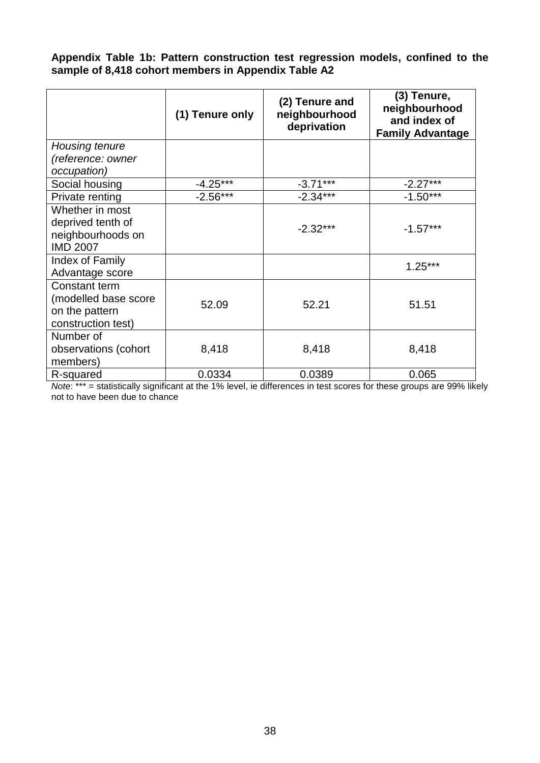**Appendix Table 1b: Pattern construction test regression models, confined to the sample of 8,418 cohort members in Appendix Table A2**

|                                                                               | (1) Tenure only | (2) Tenure and<br>neighbourhood<br>deprivation | (3) Tenure,<br>neighbourhood<br>and index of<br><b>Family Advantage</b> |
|-------------------------------------------------------------------------------|-----------------|------------------------------------------------|-------------------------------------------------------------------------|
| Housing tenure<br>(reference: owner<br>occupation)                            |                 |                                                |                                                                         |
| Social housing                                                                | $-4.25***$      | $-3.71***$                                     | $-2.27***$                                                              |
| Private renting                                                               | $-2.56***$      | $-2.34***$                                     | $-1.50***$                                                              |
| Whether in most<br>deprived tenth of<br>neighbourhoods on<br><b>IMD 2007</b>  |                 | $-2.32***$                                     | $-1.57***$                                                              |
| Index of Family<br>Advantage score                                            |                 |                                                | $1.25***$                                                               |
| Constant term<br>(modelled base score<br>on the pattern<br>construction test) | 52.09           | 52.21                                          | 51.51                                                                   |
| Number of<br>observations (cohort<br>members)                                 | 8,418           | 8,418                                          | 8,418                                                                   |
| R-squared                                                                     | 0.0334          | 0.0389                                         | 0.065                                                                   |

*Note*: \*\*\* = statistically significant at the 1% level, ie differences in test scores for these groups are 99% likely not to have been due to chance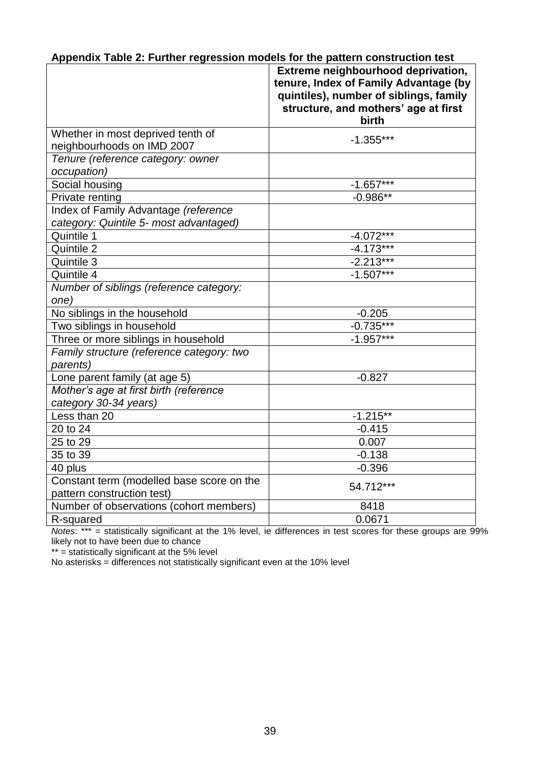|                                                                         | Extreme neighbourhood deprivation,<br>tenure, Index of Family Advantage (by<br>quintiles), number of siblings, family<br>structure, and mothers' age at first<br>birth |
|-------------------------------------------------------------------------|------------------------------------------------------------------------------------------------------------------------------------------------------------------------|
| Whether in most deprived tenth of<br>neighbourhoods on IMD 2007         | $-1.355***$                                                                                                                                                            |
| Tenure (reference category: owner                                       |                                                                                                                                                                        |
| occupation)                                                             |                                                                                                                                                                        |
| Social housing                                                          | $-1.657***$                                                                                                                                                            |
| Private renting                                                         | $-0.986**$                                                                                                                                                             |
| Index of Family Advantage (reference                                    |                                                                                                                                                                        |
| category: Quintile 5- most advantaged)                                  |                                                                                                                                                                        |
| Quintile 1                                                              | $-4.072***$                                                                                                                                                            |
| Quintile 2                                                              | $-4.173***$                                                                                                                                                            |
| Quintile 3                                                              | $-2.213***$                                                                                                                                                            |
| Quintile 4                                                              | $-1.507***$                                                                                                                                                            |
| Number of siblings (reference category:                                 |                                                                                                                                                                        |
| one)                                                                    |                                                                                                                                                                        |
| No siblings in the household                                            | $-0.205$                                                                                                                                                               |
| Two siblings in household                                               | $-0.735***$                                                                                                                                                            |
| Three or more siblings in household                                     | $-1.957***$                                                                                                                                                            |
| Family structure (reference category: two<br>parents)                   |                                                                                                                                                                        |
| Lone parent family (at age 5)                                           | $-0.827$                                                                                                                                                               |
| Mother's age at first birth (reference                                  |                                                                                                                                                                        |
| category 30-34 years)                                                   |                                                                                                                                                                        |
| Less than 20                                                            | $-1.215**$                                                                                                                                                             |
| 20 to 24                                                                | $-0.415$                                                                                                                                                               |
| 25 to 29                                                                | 0.007                                                                                                                                                                  |
| 35 to 39                                                                | $-0.138$                                                                                                                                                               |
| 40 plus                                                                 | $-0.396$                                                                                                                                                               |
| Constant term (modelled base score on the<br>pattern construction test) | 54.712***                                                                                                                                                              |
| Number of observations (cohort members)                                 | 8418                                                                                                                                                                   |
| R-squared                                                               | 0.0671                                                                                                                                                                 |

**Appendix Table 2: Further regression models for the pattern construction test** 

*Notes*: \*\*\* = statistically significant at the 1% level, ie differences in test scores for these groups are 99% likely not to have been due to chance

\*\* = statistically significant at the 5% level

No asterisks = differences not statistically significant even at the 10% level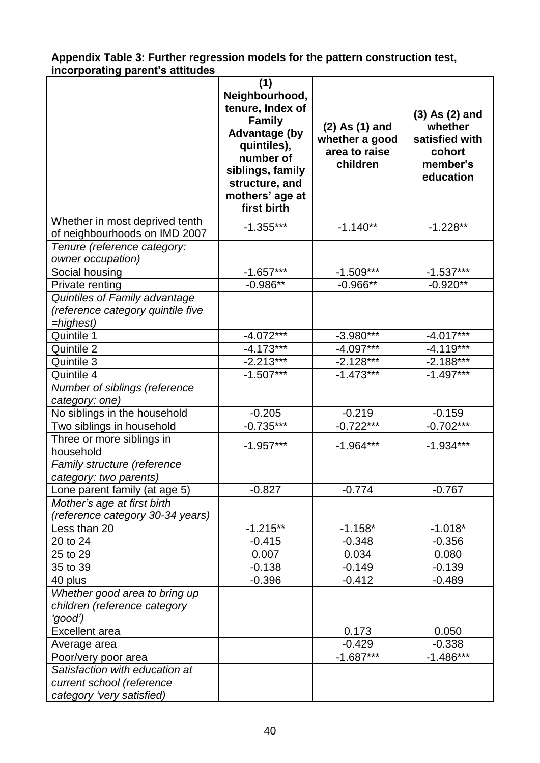#### **Appendix Table 3: Further regression models for the pattern construction test, incorporating parent's attitudes**

|                                                                                          | (1)<br>Neighbourhood,<br>tenure, Index of<br><b>Family</b><br><b>Advantage (by</b><br>quintiles),<br>number of<br>siblings, family<br>structure, and<br>mothers' age at<br>first birth | $(2)$ As $(1)$ and<br>whether a good<br>area to raise<br>children | $(3)$ As $(2)$ and<br>whether<br>satisfied with<br>cohort<br>member's<br>education |
|------------------------------------------------------------------------------------------|----------------------------------------------------------------------------------------------------------------------------------------------------------------------------------------|-------------------------------------------------------------------|------------------------------------------------------------------------------------|
| Whether in most deprived tenth<br>of neighbourhoods on IMD 2007                          | $-1.355***$                                                                                                                                                                            | $-1.140**$                                                        | $-1.228**$                                                                         |
| Tenure (reference category:<br>owner occupation)                                         |                                                                                                                                                                                        |                                                                   |                                                                                    |
| Social housing                                                                           | $-1.657***$                                                                                                                                                                            | $-1.509***$                                                       | $-1.537***$                                                                        |
| Private renting                                                                          | $-0.986**$                                                                                                                                                                             | $-0.966**$                                                        | $-0.920**$                                                                         |
| Quintiles of Family advantage<br>(reference category quintile five<br>=highest)          |                                                                                                                                                                                        |                                                                   |                                                                                    |
| Quintile 1                                                                               | $-4.072***$                                                                                                                                                                            | $-3.980***$                                                       | $-4.017***$                                                                        |
| Quintile 2                                                                               | $-4.173***$                                                                                                                                                                            | $-4.097***$                                                       | $-4.119***$                                                                        |
| Quintile 3                                                                               | $-2.213***$                                                                                                                                                                            | $-2.128***$                                                       | $-2.188***$                                                                        |
| Quintile 4                                                                               | $-1.507***$                                                                                                                                                                            | $-1.473***$                                                       | $-1.497***$                                                                        |
| Number of siblings (reference                                                            |                                                                                                                                                                                        |                                                                   |                                                                                    |
| category: one)                                                                           |                                                                                                                                                                                        |                                                                   |                                                                                    |
| No siblings in the household                                                             | $-0.205$                                                                                                                                                                               | $-0.219$                                                          | $-0.159$                                                                           |
| Two siblings in household                                                                | $-0.735***$                                                                                                                                                                            | $-0.722***$                                                       | $-0.702***$                                                                        |
| Three or more siblings in<br>household                                                   | $-1.957***$                                                                                                                                                                            | $-1.964***$                                                       | $-1.934***$                                                                        |
| Family structure (reference<br>category: two parents)                                    |                                                                                                                                                                                        |                                                                   |                                                                                    |
| Lone parent family (at age 5)                                                            | $-0.827$                                                                                                                                                                               | $-0.774$                                                          | $-0.767$                                                                           |
| Mother's age at first birth<br>(reference category 30-34 years)                          |                                                                                                                                                                                        |                                                                   |                                                                                    |
| Less than 20                                                                             | $-1.215**$                                                                                                                                                                             | $-1.158*$                                                         | $-1.018*$                                                                          |
| 20 to 24                                                                                 | $-0.415$                                                                                                                                                                               | $-0.348$                                                          | $-0.356$                                                                           |
| 25 to 29                                                                                 | 0.007                                                                                                                                                                                  | 0.034                                                             | 0.080                                                                              |
| 35 to 39                                                                                 | $-0.138$                                                                                                                                                                               | $-0.149$                                                          | $-0.139$                                                                           |
| 40 plus                                                                                  | $-0.396$                                                                                                                                                                               | $-0.412$                                                          | $-0.489$                                                                           |
| Whether good area to bring up                                                            |                                                                                                                                                                                        |                                                                   |                                                                                    |
| children (reference category<br>'good'                                                   |                                                                                                                                                                                        |                                                                   |                                                                                    |
| <b>Excellent area</b>                                                                    |                                                                                                                                                                                        | 0.173                                                             | 0.050                                                                              |
| Average area                                                                             |                                                                                                                                                                                        | $-0.429$                                                          | $-0.338$                                                                           |
| Poor/very poor area                                                                      |                                                                                                                                                                                        | $-1.687***$                                                       | $-1.486***$                                                                        |
| Satisfaction with education at<br>current school (reference<br>category 'very satisfied) |                                                                                                                                                                                        |                                                                   |                                                                                    |